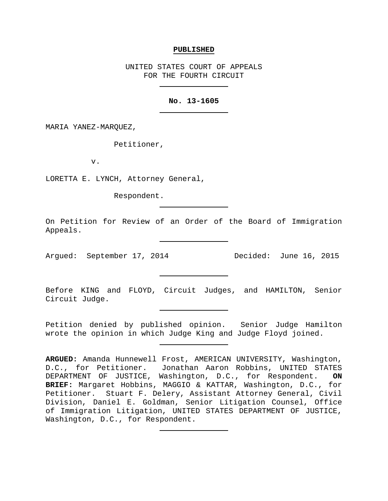### **PUBLISHED**

UNITED STATES COURT OF APPEALS FOR THE FOURTH CIRCUIT

## **No. 13-1605**

MARIA YANEZ-MARQUEZ,

Petitioner,

v.

LORETTA E. LYNCH, Attorney General,

Respondent.

On Petition for Review of an Order of the Board of Immigration Appeals.

Argued: September 17, 2014 Decided: June 16, 2015

Before KING and FLOYD, Circuit Judges, and HAMILTON, Senior Circuit Judge.

Petition denied by published opinion. Senior Judge Hamilton wrote the opinion in which Judge King and Judge Floyd joined.

**ARGUED:** Amanda Hunnewell Frost, AMERICAN UNIVERSITY, Washington, Jonathan Aaron Robbins, UNITED STATES DEPARTMENT OF JUSTICE, Washington, D.C., for Respondent. **ON BRIEF:** Margaret Hobbins, MAGGIO & KATTAR, Washington, D.C., for Petitioner. Stuart F. Delery, Assistant Attorney General, Civil Division, Daniel E. Goldman, Senior Litigation Counsel, Office of Immigration Litigation, UNITED STATES DEPARTMENT OF JUSTICE, Washington, D.C., for Respondent.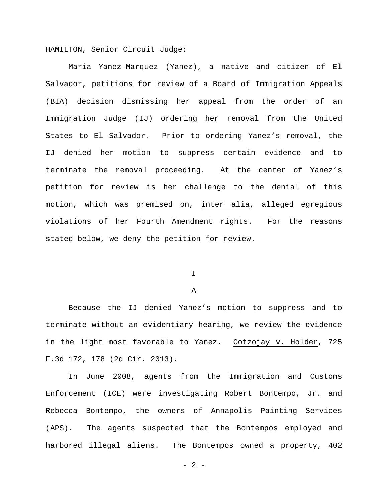HAMILTON, Senior Circuit Judge:

Maria Yanez-Marquez (Yanez), a native and citizen of El Salvador, petitions for review of a Board of Immigration Appeals (BIA) decision dismissing her appeal from the order of an Immigration Judge (IJ) ordering her removal from the United States to El Salvador. Prior to ordering Yanez's removal, the IJ denied her motion to suppress certain evidence and to terminate the removal proceeding. At the center of Yanez's petition for review is her challenge to the denial of this motion, which was premised on, inter alia, alleged egregious violations of her Fourth Amendment rights. For the reasons stated below, we deny the petition for review.

I

# A

Because the IJ denied Yanez's motion to suppress and to terminate without an evidentiary hearing, we review the evidence in the light most favorable to Yanez. Cotzojay v. Holder, 725 F.3d 172, 178 (2d Cir. 2013).

In June 2008, agents from the Immigration and Customs Enforcement (ICE) were investigating Robert Bontempo, Jr. and Rebecca Bontempo, the owners of Annapolis Painting Services (APS). The agents suspected that the Bontempos employed and harbored illegal aliens. The Bontempos owned a property, 402

 $- 2 -$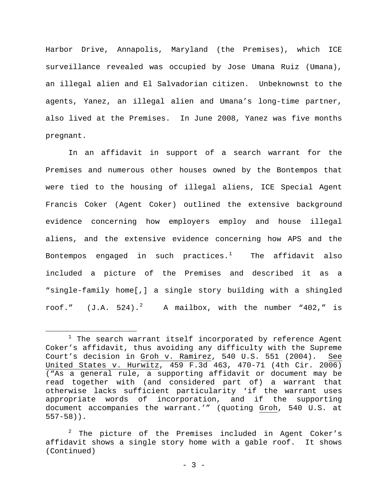Harbor Drive, Annapolis, Maryland (the Premises), which ICE surveillance revealed was occupied by Jose Umana Ruiz (Umana), an illegal alien and El Salvadorian citizen. Unbeknownst to the agents, Yanez, an illegal alien and Umana's long-time partner, also lived at the Premises. In June 2008, Yanez was five months pregnant.

In an affidavit in support of a search warrant for the Premises and numerous other houses owned by the Bontempos that were tied to the housing of illegal aliens, ICE Special Agent Francis Coker (Agent Coker) outlined the extensive background evidence concerning how employers employ and house illegal aliens, and the extensive evidence concerning how APS and the Bontempos engaged in such practices. $^1$  $^1$  The affidavit also included a picture of the Premises and described it as a "single-family home[,] a single story building with a shingled roof."  $(J.A. 524).^{2}$  $(J.A. 524).^{2}$  $(J.A. 524).^{2}$  A mailbox, with the number "402," is

<span id="page-2-0"></span> $1$  The search warrant itself incorporated by reference Agent Coker's affidavit, thus avoiding any difficulty with the Supreme Court's decision in Groh v. Ramirez, 540 U.S. 551 (2004). See United States v. Hurwitz, 459 F.3d 463, 470-71 (4th Cir. 2006) ("As a general rule, a supporting affidavit or document may be read together with (and considered part of) a warrant that otherwise lacks sufficient particularity 'if the warrant uses appropriate words of incorporation, and if the supporting document accompanies the warrant.'" (quoting Groh, 540 U.S. at 557-58)). Ĩ.

<span id="page-2-1"></span> $2$  The picture of the Premises included in Agent Coker's affidavit shows a single story home with a gable roof. It shows (Continued)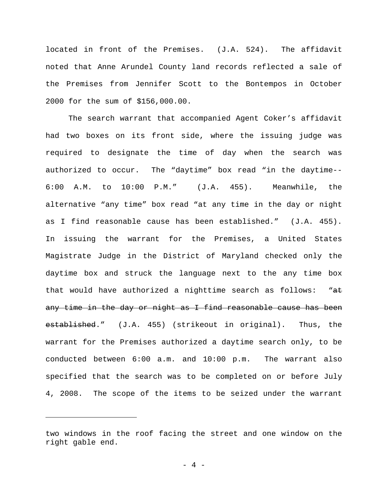located in front of the Premises. (J.A. 524). The affidavit noted that Anne Arundel County land records reflected a sale of the Premises from Jennifer Scott to the Bontempos in October 2000 for the sum of \$156,000.00.

The search warrant that accompanied Agent Coker's affidavit had two boxes on its front side, where the issuing judge was required to designate the time of day when the search was authorized to occur. The "daytime" box read "in the daytime-- 6:00 A.M. to 10:00 P.M." (J.A. 455). Meanwhile, the alternative "any time" box read "at any time in the day or night as I find reasonable cause has been established." (J.A. 455). In issuing the warrant for the Premises, a United States Magistrate Judge in the District of Maryland checked only the daytime box and struck the language next to the any time box that would have authorized a nighttime search as follows: "at any time in the day or night as I find reasonable cause has been established." (J.A. 455) (strikeout in original). Thus, the warrant for the Premises authorized a daytime search only, to be conducted between 6:00 a.m. and 10:00 p.m. The warrant also specified that the search was to be completed on or before July 4, 2008. The scope of the items to be seized under the warrant

Ĩ.

two windows in the roof facing the street and one window on the right gable end.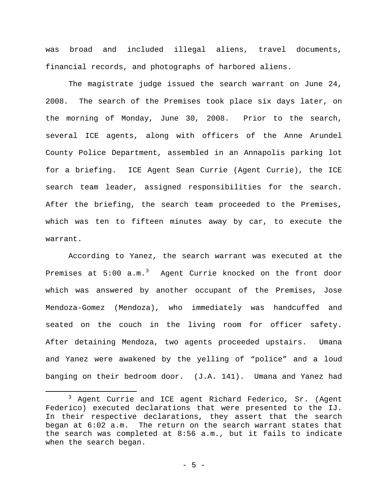was broad and included illegal aliens, travel documents, financial records, and photographs of harbored aliens.

The magistrate judge issued the search warrant on June 24, 2008. The search of the Premises took place six days later, on the morning of Monday, June 30, 2008. Prior to the search, several ICE agents, along with officers of the Anne Arundel County Police Department, assembled in an Annapolis parking lot for a briefing. ICE Agent Sean Currie (Agent Currie), the ICE search team leader, assigned responsibilities for the search. After the briefing, the search team proceeded to the Premises, which was ten to fifteen minutes away by car, to execute the warrant.

According to Yanez, the search warrant was executed at the Premises at 5:00 a.m.<sup>[3](#page-4-0)</sup> Agent Currie knocked on the front door which was answered by another occupant of the Premises, Jose Mendoza-Gomez (Mendoza), who immediately was handcuffed and seated on the couch in the living room for officer safety. After detaining Mendoza, two agents proceeded upstairs. Umana and Yanez were awakened by the yelling of "police" and a loud banging on their bedroom door. (J.A. 141). Umana and Yanez had

Ĩ.

<span id="page-4-0"></span><sup>3</sup> Agent Currie and ICE agent Richard Federico, Sr. (Agent Federico) executed declarations that were presented to the IJ. In their respective declarations, they assert that the search began at 6:02 a.m. The return on the search warrant states that the search was completed at 8:56 a.m., but it fails to indicate when the search began.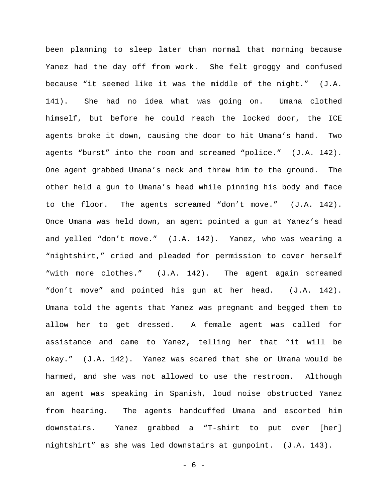been planning to sleep later than normal that morning because Yanez had the day off from work. She felt groggy and confused because "it seemed like it was the middle of the night." (J.A. 141). She had no idea what was going on. Umana clothed himself, but before he could reach the locked door, the ICE agents broke it down, causing the door to hit Umana's hand. Two agents "burst" into the room and screamed "police." (J.A. 142). One agent grabbed Umana's neck and threw him to the ground. The other held a gun to Umana's head while pinning his body and face to the floor. The agents screamed "don't move." (J.A. 142). Once Umana was held down, an agent pointed a gun at Yanez's head and yelled "don't move." (J.A. 142). Yanez, who was wearing a "nightshirt," cried and pleaded for permission to cover herself "with more clothes." (J.A. 142). The agent again screamed "don't move" and pointed his gun at her head. (J.A. 142). Umana told the agents that Yanez was pregnant and begged them to allow her to get dressed. A female agent was called for assistance and came to Yanez, telling her that "it will be okay." (J.A. 142). Yanez was scared that she or Umana would be harmed, and she was not allowed to use the restroom. Although an agent was speaking in Spanish, loud noise obstructed Yanez from hearing. The agents handcuffed Umana and escorted him downstairs. Yanez grabbed a "T-shirt to put over [her] nightshirt" as she was led downstairs at gunpoint. (J.A. 143).

 $- 6 -$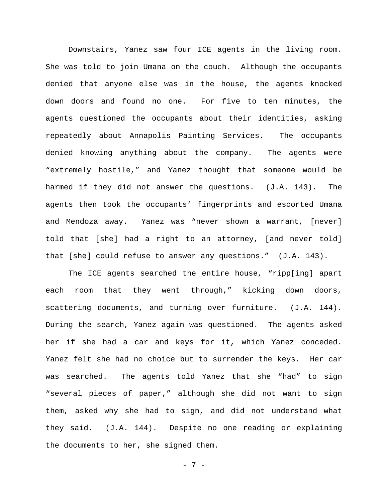Downstairs, Yanez saw four ICE agents in the living room. She was told to join Umana on the couch. Although the occupants denied that anyone else was in the house, the agents knocked down doors and found no one. For five to ten minutes, the agents questioned the occupants about their identities, asking repeatedly about Annapolis Painting Services. The occupants denied knowing anything about the company. The agents were "extremely hostile," and Yanez thought that someone would be harmed if they did not answer the questions. (J.A. 143). The agents then took the occupants' fingerprints and escorted Umana and Mendoza away. Yanez was "never shown a warrant, [never] told that [she] had a right to an attorney, [and never told] that [she] could refuse to answer any questions." (J.A. 143).

The ICE agents searched the entire house, "ripp[ing] apart each room that they went through," kicking down doors, scattering documents, and turning over furniture. (J.A. 144). During the search, Yanez again was questioned. The agents asked her if she had a car and keys for it, which Yanez conceded. Yanez felt she had no choice but to surrender the keys. Her car was searched. The agents told Yanez that she "had" to sign "several pieces of paper," although she did not want to sign them, asked why she had to sign, and did not understand what they said. (J.A. 144). Despite no one reading or explaining the documents to her, she signed them.

- 7 -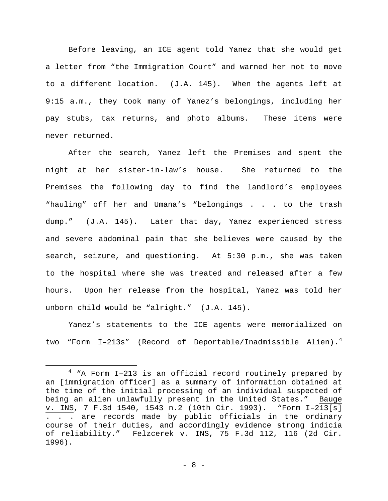Before leaving, an ICE agent told Yanez that she would get a letter from "the Immigration Court" and warned her not to move to a different location. (J.A. 145). When the agents left at 9:15 a.m., they took many of Yanez's belongings, including her pay stubs, tax returns, and photo albums. These items were never returned.

After the search, Yanez left the Premises and spent the night at her sister-in-law's house. She returned to the Premises the following day to find the landlord's employees "hauling" off her and Umana's "belongings . . . to the trash dump." (J.A. 145). Later that day, Yanez experienced stress and severe abdominal pain that she believes were caused by the search, seizure, and questioning. At 5:30 p.m., she was taken to the hospital where she was treated and released after a few hours. Upon her release from the hospital, Yanez was told her unborn child would be "alright." (J.A. 145).

Yanez's statements to the ICE agents were memorialized on two "Form I-213s" (Record of Deportable/Inadmissible Alien).<sup>[4](#page-7-0)</sup>

<span id="page-7-0"></span> $4$  "A Form I-213 is an official record routinely prepared by an [immigration officer] as a summary of information obtained at the time of the initial processing of an individual suspected of being an alien unlawfully present in the United States." Bauge v. INS, 7 F.3d 1540, 1543 n.2 (10th Cir. 1993). "Form I–213[s] . . . are records made by public officials in the ordinary course of their duties, and accordingly evidence strong indicia of reliability." Felzcerek v. INS, 75 F.3d 112, 116 (2d Cir. 1996). Ĩ.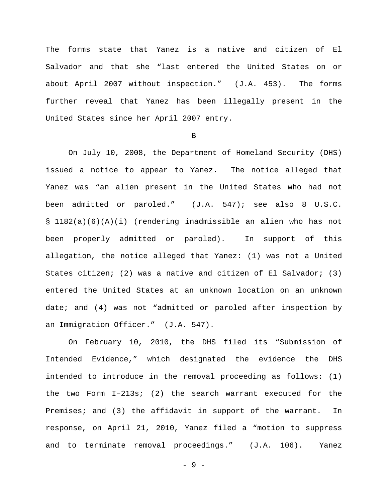The forms state that Yanez is a native and citizen of El Salvador and that she "last entered the United States on or about April 2007 without inspection." (J.A. 453). The forms further reveal that Yanez has been illegally present in the United States since her April 2007 entry.

B

On July 10, 2008, the Department of Homeland Security (DHS) issued a notice to appear to Yanez. The notice alleged that Yanez was "an alien present in the United States who had not been admitted or paroled." (J.A. 547); see also 8 U.S.C. § 1182(a)(6)(A)(i) (rendering inadmissible an alien who has not been properly admitted or paroled). In support of this allegation, the notice alleged that Yanez: (1) was not a United States citizen; (2) was a native and citizen of El Salvador; (3) entered the United States at an unknown location on an unknown date; and (4) was not "admitted or paroled after inspection by an Immigration Officer." (J.A. 547).

On February 10, 2010, the DHS filed its "Submission of Intended Evidence," which designated the evidence the DHS intended to introduce in the removal proceeding as follows: (1) the two Form I–213s; (2) the search warrant executed for the Premises; and (3) the affidavit in support of the warrant. In response, on April 21, 2010, Yanez filed a "motion to suppress and to terminate removal proceedings." (J.A. 106). Yanez

- 9 -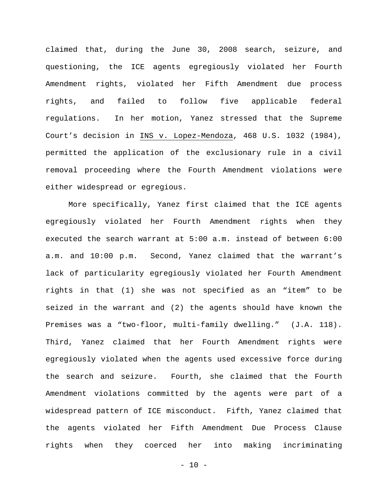claimed that, during the June 30, 2008 search, seizure, and questioning, the ICE agents egregiously violated her Fourth Amendment rights, violated her Fifth Amendment due process rights, and failed to follow five applicable federal regulations. In her motion, Yanez stressed that the Supreme Court's decision in INS v. Lopez-Mendoza, 468 U.S. 1032 (1984), permitted the application of the exclusionary rule in a civil removal proceeding where the Fourth Amendment violations were either widespread or egregious.

More specifically, Yanez first claimed that the ICE agents egregiously violated her Fourth Amendment rights when they executed the search warrant at 5:00 a.m. instead of between 6:00 a.m. and 10:00 p.m. Second, Yanez claimed that the warrant's lack of particularity egregiously violated her Fourth Amendment rights in that (1) she was not specified as an "item" to be seized in the warrant and (2) the agents should have known the Premises was a "two-floor, multi-family dwelling." (J.A. 118). Third, Yanez claimed that her Fourth Amendment rights were egregiously violated when the agents used excessive force during the search and seizure. Fourth, she claimed that the Fourth Amendment violations committed by the agents were part of a widespread pattern of ICE misconduct. Fifth, Yanez claimed that the agents violated her Fifth Amendment Due Process Clause rights when they coerced her into making incriminating

 $- 10 -$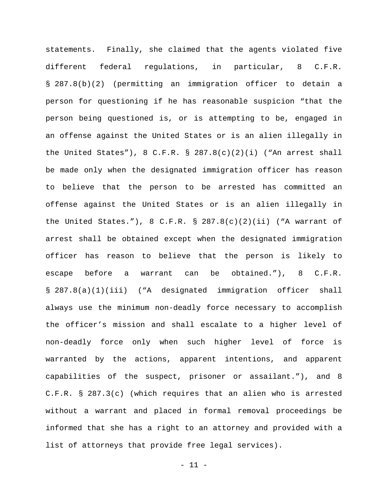statements. Finally, she claimed that the agents violated five different federal regulations, in particular, 8 C.F.R. § 287.8(b)(2) (permitting an immigration officer to detain a person for questioning if he has reasonable suspicion "that the person being questioned is, or is attempting to be, engaged in an offense against the United States or is an alien illegally in the United States"), 8 C.F.R. § 287.8(c)(2)(i) ("An arrest shall be made only when the designated immigration officer has reason to believe that the person to be arrested has committed an offense against the United States or is an alien illegally in the United States."), 8 C.F.R. § 287.8(c)(2)(ii) ("A warrant of arrest shall be obtained except when the designated immigration officer has reason to believe that the person is likely to escape before a warrant can be obtained."), 8 C.F.R. § 287.8(a)(1)(iii) ("A designated immigration officer shall always use the minimum non-deadly force necessary to accomplish the officer's mission and shall escalate to a higher level of non-deadly force only when such higher level of force is warranted by the actions, apparent intentions, and apparent capabilities of the suspect, prisoner or assailant."), and 8 C.F.R. § 287.3(c) (which requires that an alien who is arrested without a warrant and placed in formal removal proceedings be informed that she has a right to an attorney and provided with a list of attorneys that provide free legal services).

 $-11 -$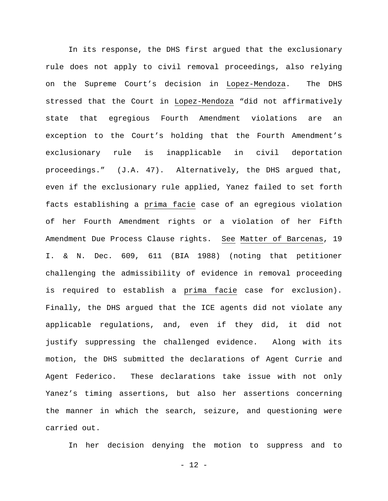In its response, the DHS first argued that the exclusionary rule does not apply to civil removal proceedings, also relying on the Supreme Court's decision in Lopez-Mendoza. The DHS stressed that the Court in Lopez-Mendoza "did not affirmatively state that egregious Fourth Amendment violations are an exception to the Court's holding that the Fourth Amendment's exclusionary rule is inapplicable in civil deportation proceedings." (J.A. 47). Alternatively, the DHS argued that, even if the exclusionary rule applied, Yanez failed to set forth facts establishing a prima facie case of an egregious violation of her Fourth Amendment rights or a violation of her Fifth Amendment Due Process Clause rights. See Matter of Barcenas, 19 I. & N. Dec. 609, 611 (BIA 1988) (noting that petitioner challenging the admissibility of evidence in removal proceeding is required to establish a prima facie case for exclusion). Finally, the DHS argued that the ICE agents did not violate any applicable regulations, and, even if they did, it did not justify suppressing the challenged evidence. Along with its motion, the DHS submitted the declarations of Agent Currie and Agent Federico. These declarations take issue with not only Yanez's timing assertions, but also her assertions concerning the manner in which the search, seizure, and questioning were carried out.

In her decision denying the motion to suppress and to

 $- 12 -$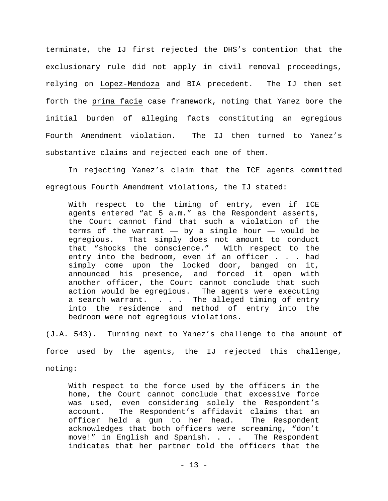terminate, the IJ first rejected the DHS's contention that the exclusionary rule did not apply in civil removal proceedings, relying on Lopez-Mendoza and BIA precedent. The IJ then set forth the prima facie case framework, noting that Yanez bore the initial burden of alleging facts constituting an egregious Fourth Amendment violation. The IJ then turned to Yanez's substantive claims and rejected each one of them.

In rejecting Yanez's claim that the ICE agents committed egregious Fourth Amendment violations, the IJ stated:

With respect to the timing of entry, even if ICE agents entered "at 5 a.m." as the Respondent asserts, the Court cannot find that such a violation of the terms of the warrant  $-$  by a single hour  $-$  would be eqreqious. That simply does not amount to conduct That simply does not amount to conduct that "shocks the conscience." With respect to the entry into the bedroom, even if an officer . . . had simply come upon the locked door, banged on it, announced his presence, and forced it open with another officer, the Court cannot conclude that such action would be egregious. The agents were executing a search warrant. . . . The alleged timing of entry into the residence and method of entry into the bedroom were not egregious violations.

(J.A. 543). Turning next to Yanez's challenge to the amount of force used by the agents, the IJ rejected this challenge, noting:

With respect to the force used by the officers in the home, the Court cannot conclude that excessive force was used, even considering solely the Respondent's account. The Respondent's affidavit claims that an<br>officer held a gun to her head. The Respondent officer held a gun to her head. acknowledges that both officers were screaming, "don't<br>move!" in English and Spanish. . . . The Respondent move!" in English and Spanish. . . . indicates that her partner told the officers that the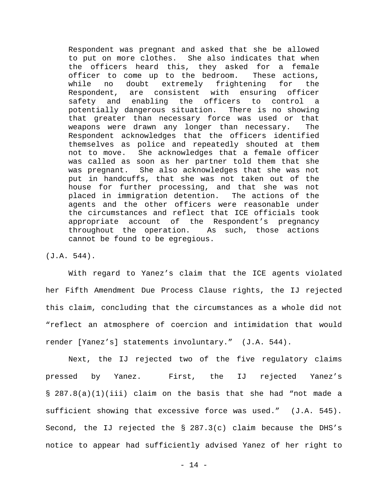Respondent was pregnant and asked that she be allowed to put on more clothes. She also indicates that when the officers heard this, they asked for a female officer to come up to the bedroom. These actions,<br>while no doubt extremely frightening for the no doubt extremely frightening for the Respondent, are consistent with ensuring officer safety and enabling the officers to control a potentially dangerous situation. There is no showing that greater than necessary force was used or that weapons were drawn any longer than necessary. The Respondent acknowledges that the officers identified themselves as police and repeatedly shouted at them not to move. She acknowledges that a female officer was called as soon as her partner told them that she<br>was pregnant. She also acknowledges that she was not She also acknowledges that she was not put in handcuffs, that she was not taken out of the house for further processing, and that she was not placed in immigration detention. The actions of the agents and the other officers were reasonable under the circumstances and reflect that ICE officials took appropriate account of the Respondent's pregnancy throughout the operation. As such, those actions cannot be found to be egregious.

(J.A. 544).

With regard to Yanez's claim that the ICE agents violated her Fifth Amendment Due Process Clause rights, the IJ rejected this claim, concluding that the circumstances as a whole did not "reflect an atmosphere of coercion and intimidation that would render [Yanez's] statements involuntary." (J.A. 544).

Next, the IJ rejected two of the five regulatory claims pressed by Yanez. First, the IJ rejected Yanez's § 287.8(a)(1)(iii) claim on the basis that she had "not made a sufficient showing that excessive force was used." (J.A. 545). Second, the IJ rejected the § 287.3(c) claim because the DHS's notice to appear had sufficiently advised Yanez of her right to

- 14 -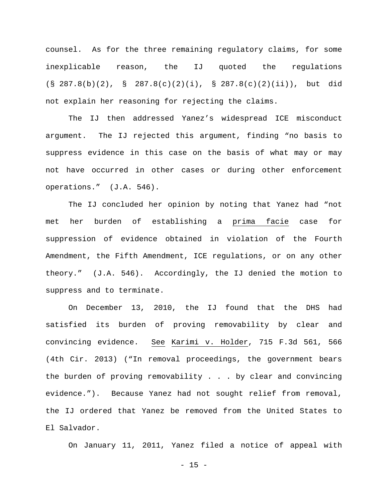counsel. As for the three remaining regulatory claims, for some inexplicable reason, the IJ quoted the regulations (§ 287.8(b)(2), § 287.8(c)(2)(i), § 287.8(c)(2)(ii)), but did not explain her reasoning for rejecting the claims.

The IJ then addressed Yanez's widespread ICE misconduct argument. The IJ rejected this argument, finding "no basis to suppress evidence in this case on the basis of what may or may not have occurred in other cases or during other enforcement operations." (J.A. 546).

The IJ concluded her opinion by noting that Yanez had "not met her burden of establishing a prima facie case for suppression of evidence obtained in violation of the Fourth Amendment, the Fifth Amendment, ICE regulations, or on any other theory." (J.A. 546). Accordingly, the IJ denied the motion to suppress and to terminate.

On December 13, 2010, the IJ found that the DHS had satisfied its burden of proving removability by clear and convincing evidence. See Karimi v. Holder, 715 F.3d 561, 566 (4th Cir. 2013) ("In removal proceedings, the government bears the burden of proving removability . . . by clear and convincing evidence."). Because Yanez had not sought relief from removal, the IJ ordered that Yanez be removed from the United States to El Salvador.

On January 11, 2011, Yanez filed a notice of appeal with

 $- 15 -$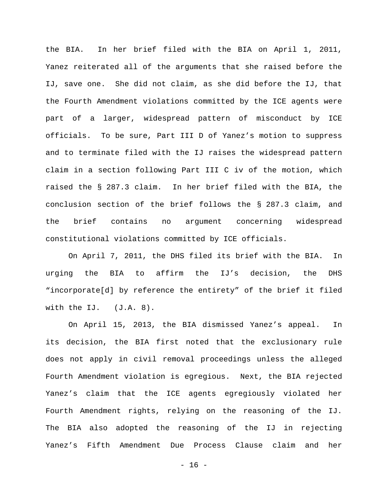the BIA. In her brief filed with the BIA on April 1, 2011, Yanez reiterated all of the arguments that she raised before the IJ, save one. She did not claim, as she did before the IJ, that the Fourth Amendment violations committed by the ICE agents were part of a larger, widespread pattern of misconduct by ICE officials. To be sure, Part III D of Yanez's motion to suppress and to terminate filed with the IJ raises the widespread pattern claim in a section following Part III C iv of the motion, which raised the § 287.3 claim. In her brief filed with the BIA, the conclusion section of the brief follows the § 287.3 claim, and the brief contains no argument concerning widespread constitutional violations committed by ICE officials.

On April 7, 2011, the DHS filed its brief with the BIA. In urging the BIA to affirm the IJ's decision, the DHS "incorporate[d] by reference the entirety" of the brief it filed with the IJ. (J.A. 8).

On April 15, 2013, the BIA dismissed Yanez's appeal. In its decision, the BIA first noted that the exclusionary rule does not apply in civil removal proceedings unless the alleged Fourth Amendment violation is egregious. Next, the BIA rejected Yanez's claim that the ICE agents egregiously violated her Fourth Amendment rights, relying on the reasoning of the IJ. The BIA also adopted the reasoning of the IJ in rejecting Yanez's Fifth Amendment Due Process Clause claim and her

- 16 -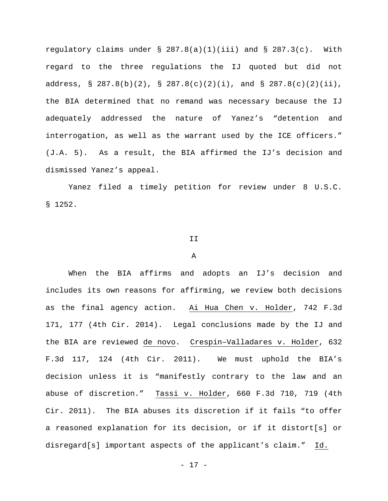regulatory claims under  $\S$  287.8(a)(1)(iii) and  $\S$  287.3(c). With regard to the three regulations the IJ quoted but did not address, § 287.8(b)(2), § 287.8(c)(2)(i), and § 287.8(c)(2)(ii), the BIA determined that no remand was necessary because the IJ adequately addressed the nature of Yanez's "detention and interrogation, as well as the warrant used by the ICE officers." (J.A. 5). As a result, the BIA affirmed the IJ's decision and dismissed Yanez's appeal.

Yanez filed a timely petition for review under 8 U.S.C. § 1252.

### II

#### A

When the BIA affirms and adopts an IJ's decision and includes its own reasons for affirming, we review both decisions as the final agency action. Ai Hua Chen v. Holder, 742 F.3d 171, 177 (4th Cir. 2014). Legal conclusions made by the IJ and the BIA are reviewed de novo. Crespin–Valladares v. Holder, 632 F.3d 117, 124 (4th Cir. 2011). We must uphold the BIA's decision unless it is "manifestly contrary to the law and an abuse of discretion." Tassi v. Holder, 660 F.3d 710, 719 (4th Cir. 2011). The BIA abuses its discretion if it fails "to offer a reasoned explanation for its decision, or if it distort[s] or disregard[s] important aspects of the applicant's claim." Id.

- 17 -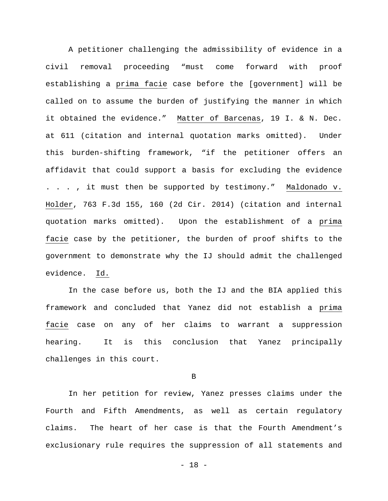A petitioner challenging the admissibility of evidence in a civil removal proceeding "must come forward with proof establishing a prima facie case before the [government] will be called on to assume the burden of justifying the manner in which it obtained the evidence." Matter of Barcenas, 19 I. & N. Dec. at 611 (citation and internal quotation marks omitted). Under this burden-shifting framework, "if the petitioner offers an affidavit that could support a basis for excluding the evidence . . . , it must then be supported by testimony." Maldonado v. Holder, 763 F.3d 155, 160 (2d Cir. 2014) (citation and internal quotation marks omitted). Upon the establishment of a prima facie case by the petitioner, the burden of proof shifts to the government to demonstrate why the IJ should admit the challenged evidence. Id.

In the case before us, both the IJ and the BIA applied this framework and concluded that Yanez did not establish a prima facie case on any of her claims to warrant a suppression hearing. It is this conclusion that Yanez principally challenges in this court.

B

In her petition for review, Yanez presses claims under the Fourth and Fifth Amendments, as well as certain regulatory claims. The heart of her case is that the Fourth Amendment's exclusionary rule requires the suppression of all statements and

- 18 -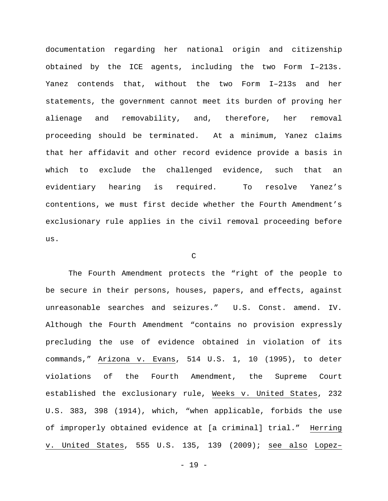documentation regarding her national origin and citizenship obtained by the ICE agents, including the two Form I–213s. Yanez contends that, without the two Form I–213s and her statements, the government cannot meet its burden of proving her alienage and removability, and, therefore, her removal proceeding should be terminated. At a minimum, Yanez claims that her affidavit and other record evidence provide a basis in which to exclude the challenged evidence, such that an evidentiary hearing is required. To resolve Yanez's contentions, we must first decide whether the Fourth Amendment's exclusionary rule applies in the civil removal proceeding before us.

C

The Fourth Amendment protects the "right of the people to be secure in their persons, houses, papers, and effects, against unreasonable searches and seizures." U.S. Const. amend. IV. Although the Fourth Amendment "contains no provision expressly precluding the use of evidence obtained in violation of its commands," Arizona v. Evans, 514 U.S. 1, 10 (1995), to deter violations of the Fourth Amendment, the Supreme Court established the exclusionary rule, Weeks v. United States, 232 U.S. 383, 398 (1914), which, "when applicable, forbids the use of improperly obtained evidence at [a criminal] trial." Herring v. United States, 555 U.S. 135, 139 (2009); see also Lopez–

- 19 -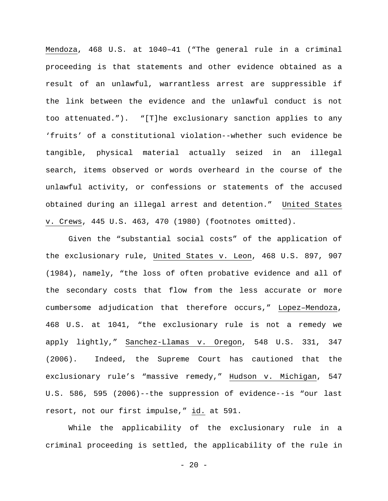Mendoza, 468 U.S. at 1040–41 ("The general rule in a criminal proceeding is that statements and other evidence obtained as a result of an unlawful, warrantless arrest are suppressible if the link between the evidence and the unlawful conduct is not too attenuated."). "[T]he exclusionary sanction applies to any 'fruits' of a constitutional violation--whether such evidence be tangible, physical material actually seized in an illegal search, items observed or words overheard in the course of the unlawful activity, or confessions or statements of the accused obtained during an illegal arrest and detention." United States v. Crews, 445 U.S. 463, 470 (1980) (footnotes omitted).

Given the "substantial social costs" of the application of the exclusionary rule, United States v. Leon, 468 U.S. 897, 907 (1984), namely, "the loss of often probative evidence and all of the secondary costs that flow from the less accurate or more cumbersome adjudication that therefore occurs," Lopez–Mendoza, 468 U.S. at 1041, "the exclusionary rule is not a remedy we apply lightly," Sanchez-Llamas v. Oregon, 548 U.S. 331, 347 (2006). Indeed, the Supreme Court has cautioned that the exclusionary rule's "massive remedy," Hudson v. Michigan, 547 U.S. 586, 595 (2006)--the suppression of evidence--is "our last resort, not our first impulse," id. at 591.

While the applicability of the exclusionary rule in a criminal proceeding is settled, the applicability of the rule in

 $- 20 -$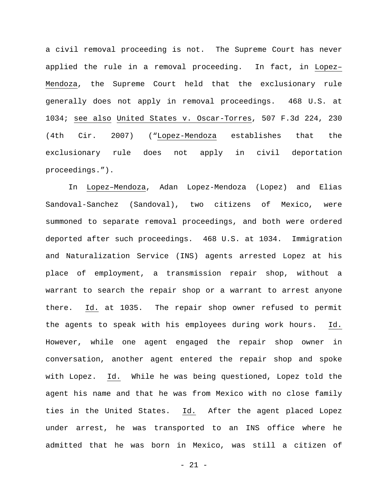a civil removal proceeding is not. The Supreme Court has never applied the rule in a removal proceeding. In fact, in Lopez– Mendoza, the Supreme Court held that the exclusionary rule generally does not apply in removal proceedings. 468 U.S. at 1034; see also United States v. Oscar-Torres, 507 F.3d 224, 230 (4th Cir. 2007) ("Lopez-Mendoza establishes that the exclusionary rule does not apply in civil deportation proceedings.").

In Lopez–Mendoza, Adan Lopez-Mendoza (Lopez) and Elias Sandoval-Sanchez (Sandoval), two citizens of Mexico, were summoned to separate removal proceedings, and both were ordered deported after such proceedings. 468 U.S. at 1034. Immigration and Naturalization Service (INS) agents arrested Lopez at his place of employment, a transmission repair shop, without a warrant to search the repair shop or a warrant to arrest anyone there. Id. at 1035. The repair shop owner refused to permit the agents to speak with his employees during work hours. Id. However, while one agent engaged the repair shop owner in conversation, another agent entered the repair shop and spoke with Lopez. Id. While he was being questioned, Lopez told the agent his name and that he was from Mexico with no close family ties in the United States. Id. After the agent placed Lopez under arrest, he was transported to an INS office where he admitted that he was born in Mexico, was still a citizen of

- 21 -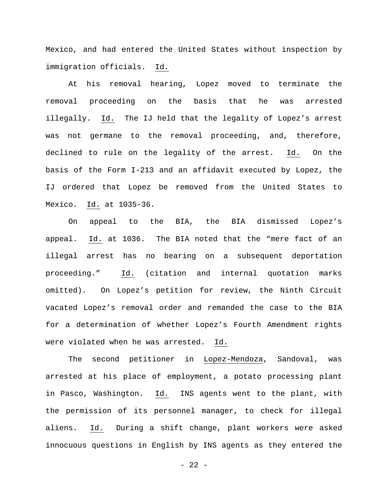Mexico, and had entered the United States without inspection by immigration officials. Id.

At his removal hearing, Lopez moved to terminate the removal proceeding on the basis that he was arrested illegally. Id. The IJ held that the legality of Lopez's arrest was not germane to the removal proceeding, and, therefore, declined to rule on the legality of the arrest. Id. On the basis of the Form I-213 and an affidavit executed by Lopez, the IJ ordered that Lopez be removed from the United States to Mexico. Id. at 1035-36.

On appeal to the BIA, the BIA dismissed Lopez's appeal. Id. at 1036. The BIA noted that the "mere fact of an illegal arrest has no bearing on a subsequent deportation proceeding." Id. (citation and internal quotation marks omitted). On Lopez's petition for review, the Ninth Circuit vacated Lopez's removal order and remanded the case to the BIA for a determination of whether Lopez's Fourth Amendment rights were violated when he was arrested. Id.

The second petitioner in Lopez-Mendoza, Sandoval, was arrested at his place of employment, a potato processing plant in Pasco, Washington. Id. INS agents went to the plant, with the permission of its personnel manager, to check for illegal aliens. Id. During a shift change, plant workers were asked innocuous questions in English by INS agents as they entered the

 $- 22 -$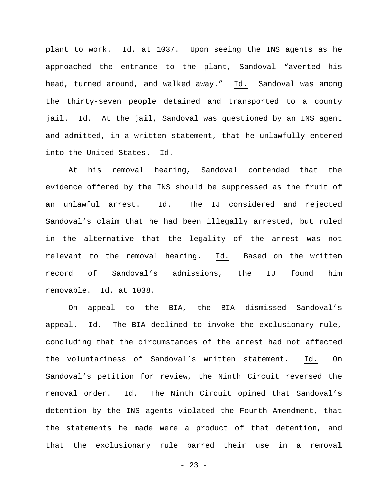plant to work. Id. at 1037. Upon seeing the INS agents as he approached the entrance to the plant, Sandoval "averted his head, turned around, and walked away." Id. Sandoval was among the thirty-seven people detained and transported to a county jail. Id. At the jail, Sandoval was questioned by an INS agent and admitted, in a written statement, that he unlawfully entered into the United States. Id.

At his removal hearing, Sandoval contended that the evidence offered by the INS should be suppressed as the fruit of an unlawful arrest. Id. The IJ considered and rejected Sandoval's claim that he had been illegally arrested, but ruled in the alternative that the legality of the arrest was not relevant to the removal hearing. Id. Based on the written record of Sandoval's admissions, the IJ found him removable. Id. at 1038.

On appeal to the BIA, the BIA dismissed Sandoval's appeal. Id. The BIA declined to invoke the exclusionary rule, concluding that the circumstances of the arrest had not affected the voluntariness of Sandoval's written statement. Id. On Sandoval's petition for review, the Ninth Circuit reversed the removal order. Id. The Ninth Circuit opined that Sandoval's detention by the INS agents violated the Fourth Amendment, that the statements he made were a product of that detention, and that the exclusionary rule barred their use in a removal

 $- 23 -$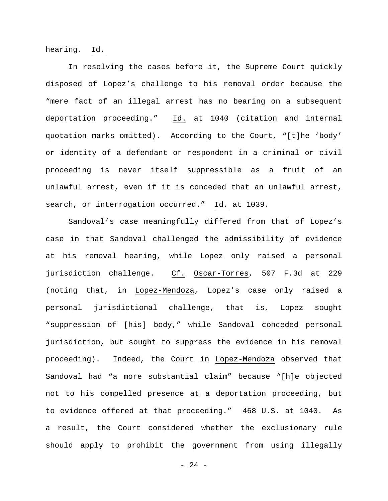hearing. Id.

In resolving the cases before it, the Supreme Court quickly disposed of Lopez's challenge to his removal order because the "mere fact of an illegal arrest has no bearing on a subsequent deportation proceeding." Id. at 1040 (citation and internal quotation marks omitted). According to the Court, "[t]he 'body' or identity of a defendant or respondent in a criminal or civil proceeding is never itself suppressible as a fruit of an unlawful arrest, even if it is conceded that an unlawful arrest, search, or interrogation occurred." Id. at 1039.

Sandoval's case meaningfully differed from that of Lopez's case in that Sandoval challenged the admissibility of evidence at his removal hearing, while Lopez only raised a personal jurisdiction challenge. Cf. Oscar-Torres, 507 F.3d at 229 (noting that, in Lopez-Mendoza, Lopez's case only raised a personal jurisdictional challenge, that is, Lopez sought "suppression of [his] body," while Sandoval conceded personal jurisdiction, but sought to suppress the evidence in his removal proceeding). Indeed, the Court in Lopez-Mendoza observed that Sandoval had "a more substantial claim" because "[h]e objected not to his compelled presence at a deportation proceeding, but to evidence offered at that proceeding." 468 U.S. at 1040. As a result, the Court considered whether the exclusionary rule should apply to prohibit the government from using illegally

- 24 -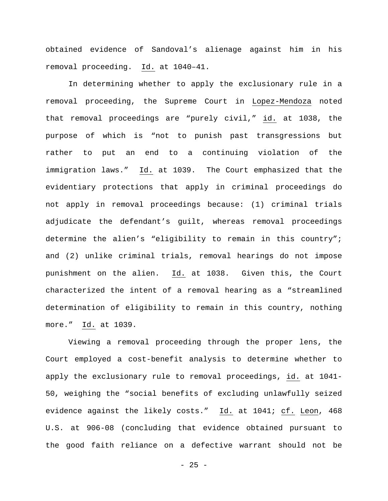obtained evidence of Sandoval's alienage against him in his removal proceeding. Id. at 1040–41.

In determining whether to apply the exclusionary rule in a removal proceeding, the Supreme Court in Lopez-Mendoza noted that removal proceedings are "purely civil," id. at 1038, the purpose of which is "not to punish past transgressions but rather to put an end to a continuing violation of the immigration laws." Id. at 1039. The Court emphasized that the evidentiary protections that apply in criminal proceedings do not apply in removal proceedings because: (1) criminal trials adjudicate the defendant's guilt, whereas removal proceedings determine the alien's "eligibility to remain in this country"; and (2) unlike criminal trials, removal hearings do not impose punishment on the alien. Id. at 1038. Given this, the Court characterized the intent of a removal hearing as a "streamlined determination of eligibility to remain in this country, nothing more." Id. at 1039.

Viewing a removal proceeding through the proper lens, the Court employed a cost-benefit analysis to determine whether to apply the exclusionary rule to removal proceedings, id. at 1041- 50, weighing the "social benefits of excluding unlawfully seized evidence against the likely costs." Id. at 1041; cf. Leon, 468 U.S. at 906-08 (concluding that evidence obtained pursuant to the good faith reliance on a defective warrant should not be

 $- 25 -$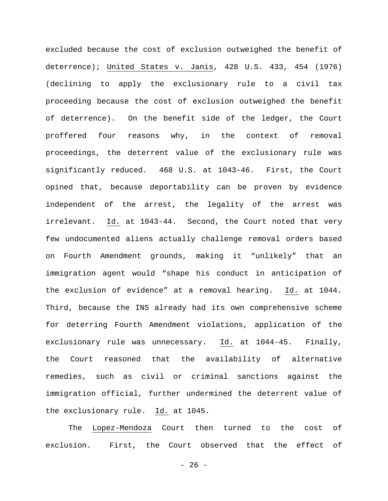excluded because the cost of exclusion outweighed the benefit of deterrence); United States v. Janis, 428 U.S. 433, 454 (1976) (declining to apply the exclusionary rule to a civil tax proceeding because the cost of exclusion outweighed the benefit of deterrence). On the benefit side of the ledger, the Court proffered four reasons why, in the context of removal proceedings, the deterrent value of the exclusionary rule was significantly reduced. 468 U.S. at 1043-46. First, the Court opined that, because deportability can be proven by evidence independent of the arrest, the legality of the arrest was irrelevant. Id. at 1043-44. Second, the Court noted that very few undocumented aliens actually challenge removal orders based on Fourth Amendment grounds, making it "unlikely" that an immigration agent would "shape his conduct in anticipation of the exclusion of evidence" at a removal hearing. Id. at 1044. Third, because the INS already had its own comprehensive scheme for deterring Fourth Amendment violations, application of the exclusionary rule was unnecessary. Id. at 1044-45. Finally, the Court reasoned that the availability of alternative remedies, such as civil or criminal sanctions against the immigration official, further undermined the deterrent value of the exclusionary rule. Id. at 1045.

The Lopez-Mendoza Court then turned to the cost of exclusion. First, the Court observed that the effect of

- 26 -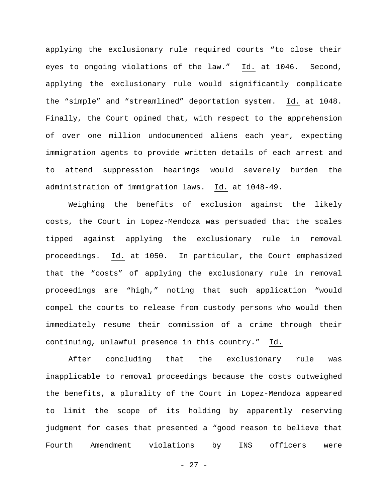applying the exclusionary rule required courts "to close their eyes to ongoing violations of the law." Id. at 1046. Second, applying the exclusionary rule would significantly complicate the "simple" and "streamlined" deportation system. Id. at 1048. Finally, the Court opined that, with respect to the apprehension of over one million undocumented aliens each year, expecting immigration agents to provide written details of each arrest and to attend suppression hearings would severely burden the administration of immigration laws. Id. at 1048-49.

Weighing the benefits of exclusion against the likely costs, the Court in Lopez-Mendoza was persuaded that the scales tipped against applying the exclusionary rule in removal proceedings. Id. at 1050. In particular, the Court emphasized that the "costs" of applying the exclusionary rule in removal proceedings are "high," noting that such application "would compel the courts to release from custody persons who would then immediately resume their commission of a crime through their continuing, unlawful presence in this country." Id.

After concluding that the exclusionary rule was inapplicable to removal proceedings because the costs outweighed the benefits, a plurality of the Court in Lopez-Mendoza appeared to limit the scope of its holding by apparently reserving judgment for cases that presented a "good reason to believe that Fourth Amendment violations by INS officers were

- 27 -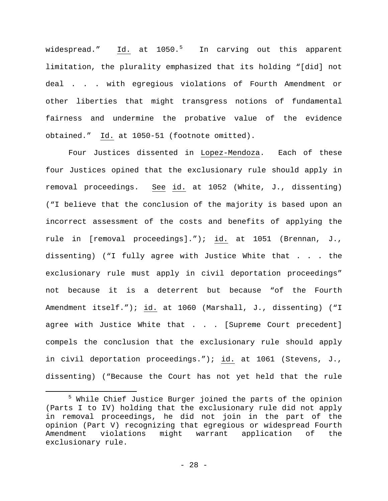widespread." <u>Id.</u> at 10[5](#page-27-0)0.<sup>5</sup> In carving out this apparent limitation, the plurality emphasized that its holding "[did] not deal . . . with egregious violations of Fourth Amendment or other liberties that might transgress notions of fundamental fairness and undermine the probative value of the evidence obtained." Id. at 1050-51 (footnote omitted).

Four Justices dissented in Lopez-Mendoza. Each of these four Justices opined that the exclusionary rule should apply in removal proceedings. See id. at 1052 (White, J., dissenting) ("I believe that the conclusion of the majority is based upon an incorrect assessment of the costs and benefits of applying the rule in [removal proceedings]."); id. at 1051 (Brennan, J., dissenting) ("I fully agree with Justice White that . . . the exclusionary rule must apply in civil deportation proceedings" not because it is a deterrent but because "of the Fourth Amendment itself."); id. at 1060 (Marshall, J., dissenting) ("I agree with Justice White that . . . [Supreme Court precedent] compels the conclusion that the exclusionary rule should apply in civil deportation proceedings."); id. at 1061 (Stevens, J., dissenting) ("Because the Court has not yet held that the rule

Ĩ.

<span id="page-27-0"></span><sup>5</sup> While Chief Justice Burger joined the parts of the opinion (Parts I to IV) holding that the exclusionary rule did not apply in removal proceedings, he did not join in the part of the opinion (Part V) recognizing that egregious or widespread Fourth Amendment violations might warrant application of the exclusionary rule.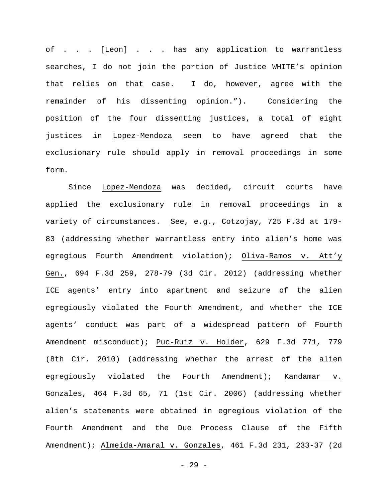of . . . [Leon] . . . has any application to warrantless searches, I do not join the portion of Justice WHITE's opinion that relies on that case. I do, however, agree with the remainder of his dissenting opinion."). Considering the position of the four dissenting justices, a total of eight justices in Lopez-Mendoza seem to have agreed that the exclusionary rule should apply in removal proceedings in some form.

Since Lopez-Mendoza was decided, circuit courts have applied the exclusionary rule in removal proceedings in a variety of circumstances. See, e.g., Cotzojay, 725 F.3d at 179- 83 (addressing whether warrantless entry into alien's home was egregious Fourth Amendment violation); Oliva-Ramos v. Att'y Gen., 694 F.3d 259, 278-79 (3d Cir. 2012) (addressing whether ICE agents' entry into apartment and seizure of the alien egregiously violated the Fourth Amendment, and whether the ICE agents' conduct was part of a widespread pattern of Fourth Amendment misconduct); Puc-Ruiz v. Holder, 629 F.3d 771, 779 (8th Cir. 2010) (addressing whether the arrest of the alien egregiously violated the Fourth Amendment); Kandamar v. Gonzales, 464 F.3d 65, 71 (1st Cir. 2006) (addressing whether alien's statements were obtained in egregious violation of the Fourth Amendment and the Due Process Clause of the Fifth Amendment); Almeida-Amaral v. Gonzales, 461 F.3d 231, 233-37 (2d

- 29 -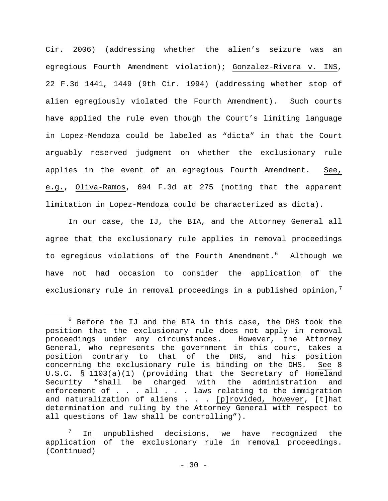Cir. 2006) (addressing whether the alien's seizure was an egregious Fourth Amendment violation); Gonzalez-Rivera v. INS, 22 F.3d 1441, 1449 (9th Cir. 1994) (addressing whether stop of alien egregiously violated the Fourth Amendment). Such courts have applied the rule even though the Court's limiting language in Lopez-Mendoza could be labeled as "dicta" in that the Court arguably reserved judgment on whether the exclusionary rule applies in the event of an egregious Fourth Amendment. See, e.g., Oliva-Ramos, 694 F.3d at 275 (noting that the apparent limitation in Lopez-Mendoza could be characterized as dicta).

In our case, the IJ, the BIA, and the Attorney General all agree that the exclusionary rule applies in removal proceedings to egregious violations of the Fourth Amendment.<sup>[6](#page-29-0)</sup> Although we have not had occasion to consider the application of the exclusionary rule in removal proceedings in a published opinion, $<sup>7</sup>$  $<sup>7</sup>$  $<sup>7</sup>$ </sup>

<span id="page-29-0"></span> $6$  Before the IJ and the BIA in this case, the DHS took the position that the exclusionary rule does not apply in removal proceedings under any circumstances. However, the Attorney General, who represents the government in this court, takes a position contrary to that of the DHS, and his position concerning the exclusionary rule is binding on the DHS. U.S.C. § 1103(a)(1) (providing that the Secretary of Homeland Security "shall be charged with the administration and enforcement of . . . all . . . laws relating to the immigration and naturalization of aliens  $\ldots$  . [p]rovided, however, [t]hat determination and ruling by the Attorney General with respect to all questions of law shall be controlling"). ī

<span id="page-29-1"></span> $7$  In unpublished decisions, we have recognized the application of the exclusionary rule in removal proceedings. (Continued)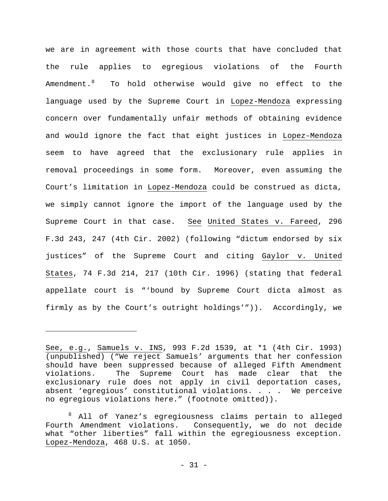we are in agreement with those courts that have concluded that the rule applies to egregious violations of the Fourth Amendment.[8](#page-30-0) To hold otherwise would give no effect to the language used by the Supreme Court in Lopez-Mendoza expressing concern over fundamentally unfair methods of obtaining evidence and would ignore the fact that eight justices in Lopez-Mendoza seem to have agreed that the exclusionary rule applies in removal proceedings in some form. Moreover, even assuming the Court's limitation in Lopez-Mendoza could be construed as dicta, we simply cannot ignore the import of the language used by the Supreme Court in that case. See United States v. Fareed, 296 F.3d 243, 247 (4th Cir. 2002) (following "dictum endorsed by six justices" of the Supreme Court and citing Gaylor v. United States, 74 F.3d 214, 217 (10th Cir. 1996) (stating that federal appellate court is "'bound by Supreme Court dicta almost as firmly as by the Court's outright holdings'")). Accordingly, we

Ĩ.

See, e.g., Samuels v. INS, 993 F.2d 1539, at \*1 (4th Cir. 1993) (unpublished) ("We reject Samuels' arguments that her confession should have been suppressed because of alleged Fifth Amendment violations. The Supreme Court has made clear that the exclusionary rule does not apply in civil deportation cases, absent 'egregious' constitutional violations. . . . We perceive no egregious violations here." (footnote omitted)).

<span id="page-30-0"></span><sup>8</sup> All of Yanez's egregiousness claims pertain to alleged Fourth Amendment violations. Consequently, we do not decide what "other liberties" fall within the egregiousness exception. Lopez-Mendoza, 468 U.S. at 1050.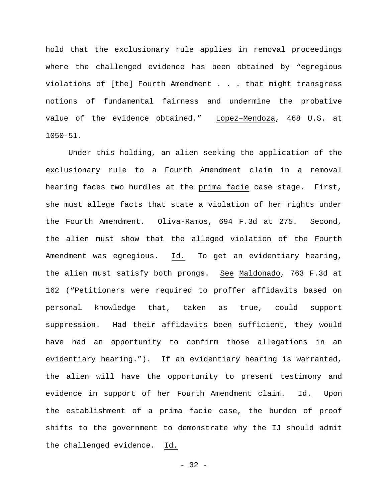hold that the exclusionary rule applies in removal proceedings where the challenged evidence has been obtained by "egregious violations of [the] Fourth Amendment . . . that might transgress notions of fundamental fairness and undermine the probative value of the evidence obtained." Lopez–Mendoza, 468 U.S. at 1050-51.

Under this holding, an alien seeking the application of the exclusionary rule to a Fourth Amendment claim in a removal hearing faces two hurdles at the prima facie case stage. First, she must allege facts that state a violation of her rights under the Fourth Amendment. Oliva-Ramos, 694 F.3d at 275. Second, the alien must show that the alleged violation of the Fourth Amendment was egregious. Id. To get an evidentiary hearing, the alien must satisfy both prongs. See Maldonado, 763 F.3d at 162 ("Petitioners were required to proffer affidavits based on personal knowledge that, taken as true, could support suppression. Had their affidavits been sufficient, they would have had an opportunity to confirm those allegations in an evidentiary hearing."). If an evidentiary hearing is warranted, the alien will have the opportunity to present testimony and evidence in support of her Fourth Amendment claim. Id. Upon the establishment of a prima facie case, the burden of proof shifts to the government to demonstrate why the IJ should admit the challenged evidence. Id.

 $-32 -$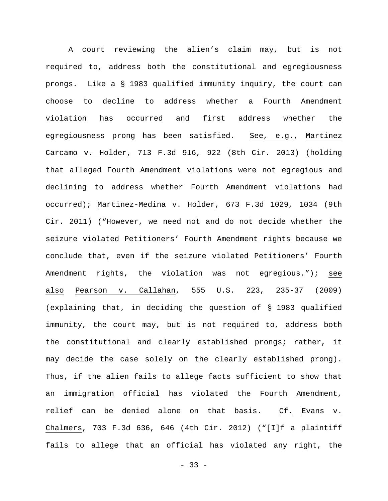A court reviewing the alien's claim may, but is not required to, address both the constitutional and egregiousness prongs. Like a § 1983 qualified immunity inquiry, the court can choose to decline to address whether a Fourth Amendment violation has occurred and first address whether the egregiousness prong has been satisfied. See, e.g., Martinez Carcamo v. Holder, 713 F.3d 916, 922 (8th Cir. 2013) (holding that alleged Fourth Amendment violations were not egregious and declining to address whether Fourth Amendment violations had occurred); Martinez-Medina v. Holder, 673 F.3d 1029, 1034 (9th Cir. 2011) ("However, we need not and do not decide whether the seizure violated Petitioners' Fourth Amendment rights because we conclude that, even if the seizure violated Petitioners' Fourth Amendment rights, the violation was not egregious."); see also Pearson v. Callahan, 555 U.S. 223, 235-37 (2009) (explaining that, in deciding the question of § 1983 qualified immunity, the court may, but is not required to, address both the constitutional and clearly established prongs; rather, it may decide the case solely on the clearly established prong). Thus, if the alien fails to allege facts sufficient to show that an immigration official has violated the Fourth Amendment, relief can be denied alone on that basis. Cf. Evans v. Chalmers, 703 F.3d 636, 646 (4th Cir. 2012) ("[I]f a plaintiff fails to allege that an official has violated any right, the

 $-33 -$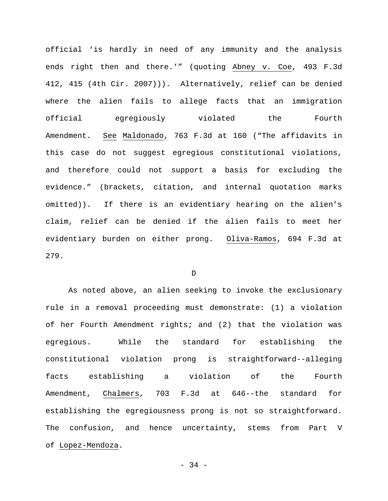official 'is hardly in need of any immunity and the analysis ends right then and there.'" (quoting Abney v. Coe, 493 F.3d 412, 415 (4th Cir. 2007))). Alternatively, relief can be denied where the alien fails to allege facts that an immigration official egregiously violated the Fourth Amendment. See Maldonado, 763 F.3d at 160 ("The affidavits in this case do not suggest egregious constitutional violations, and therefore could not support a basis for excluding the evidence." (brackets, citation, and internal quotation marks omitted)). If there is an evidentiary hearing on the alien's claim, relief can be denied if the alien fails to meet her evidentiary burden on either prong. Oliva-Ramos, 694 F.3d at 279.

D

As noted above, an alien seeking to invoke the exclusionary rule in a removal proceeding must demonstrate: (1) a violation of her Fourth Amendment rights; and (2) that the violation was egregious. While the standard for establishing the constitutional violation prong is straightforward--alleging facts establishing a violation of the Fourth Amendment, Chalmers, 703 F.3d at 646--the standard for establishing the egregiousness prong is not so straightforward. The confusion, and hence uncertainty, stems from Part V of Lopez-Mendoza.

- 34 -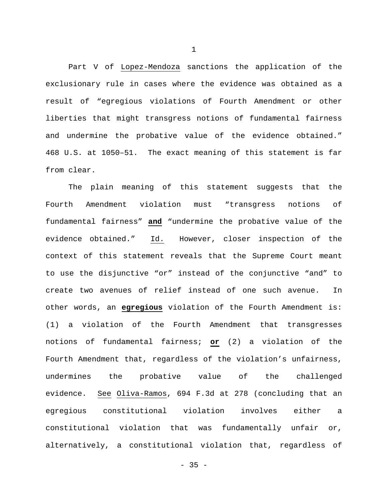Part V of Lopez-Mendoza sanctions the application of the exclusionary rule in cases where the evidence was obtained as a result of "egregious violations of Fourth Amendment or other liberties that might transgress notions of fundamental fairness and undermine the probative value of the evidence obtained." 468 U.S. at 1050–51. The exact meaning of this statement is far from clear.

The plain meaning of this statement suggests that the Fourth Amendment violation must "transgress notions of fundamental fairness" **and** "undermine the probative value of the evidence obtained." Id. However, closer inspection of the context of this statement reveals that the Supreme Court meant to use the disjunctive "or" instead of the conjunctive "and" to create two avenues of relief instead of one such avenue. In other words, an **egregious** violation of the Fourth Amendment is: (1) a violation of the Fourth Amendment that transgresses notions of fundamental fairness; **or** (2) a violation of the Fourth Amendment that, regardless of the violation's unfairness, undermines the probative value of the challenged evidence. See Oliva-Ramos, 694 F.3d at 278 (concluding that an egregious constitutional violation involves either a constitutional violation that was fundamentally unfair or, alternatively, a constitutional violation that, regardless of

1

 $- 35 -$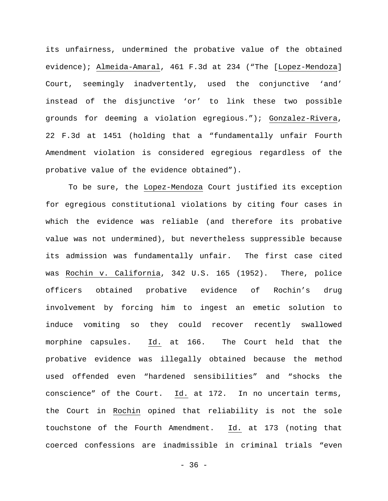its unfairness, undermined the probative value of the obtained evidence); Almeida-Amaral, 461 F.3d at 234 ("The [Lopez-Mendoza] Court, seemingly inadvertently, used the conjunctive 'and' instead of the disjunctive 'or' to link these two possible grounds for deeming a violation egregious."); Gonzalez-Rivera, 22 F.3d at 1451 (holding that a "fundamentally unfair Fourth Amendment violation is considered egregious regardless of the probative value of the evidence obtained").

To be sure, the Lopez-Mendoza Court justified its exception for egregious constitutional violations by citing four cases in which the evidence was reliable (and therefore its probative value was not undermined), but nevertheless suppressible because its admission was fundamentally unfair. The first case cited was Rochin v. California, 342 U.S. 165 (1952). There, police officers obtained probative evidence of Rochin's drug involvement by forcing him to ingest an emetic solution to induce vomiting so they could recover recently swallowed morphine capsules. Id. at 166. The Court held that the probative evidence was illegally obtained because the method used offended even "hardened sensibilities" and "shocks the conscience" of the Court. Id. at 172. In no uncertain terms, the Court in Rochin opined that reliability is not the sole touchstone of the Fourth Amendment. Id. at 173 (noting that coerced confessions are inadmissible in criminal trials "even

- 36 -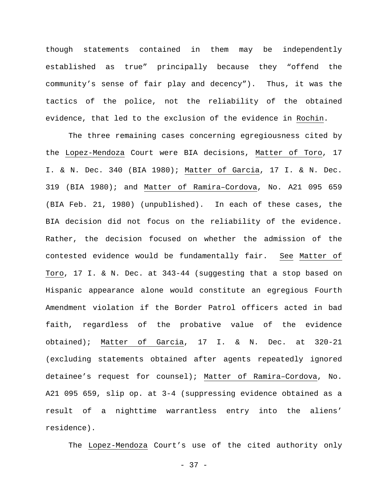though statements contained in them may be independently established as true" principally because they "offend the community's sense of fair play and decency"). Thus, it was the tactics of the police, not the reliability of the obtained evidence, that led to the exclusion of the evidence in Rochin.

The three remaining cases concerning egregiousness cited by the Lopez-Mendoza Court were BIA decisions, Matter of Toro, 17 I. & N. Dec. 340 (BIA 1980); Matter of Garcia, 17 I. & N. Dec. 319 (BIA 1980); and Matter of Ramira–Cordova, No. A21 095 659 (BIA Feb. 21, 1980) (unpublished). In each of these cases, the BIA decision did not focus on the reliability of the evidence. Rather, the decision focused on whether the admission of the contested evidence would be fundamentally fair. See Matter of Toro, 17 I. & N. Dec. at 343-44 (suggesting that a stop based on Hispanic appearance alone would constitute an egregious Fourth Amendment violation if the Border Patrol officers acted in bad faith, regardless of the probative value of the evidence obtained); Matter of Garcia, 17 I. & N. Dec. at 320-21 (excluding statements obtained after agents repeatedly ignored detainee's request for counsel); Matter of Ramira–Cordova, No. A21 095 659, slip op. at 3-4 (suppressing evidence obtained as a result of a nighttime warrantless entry into the aliens' residence).

The Lopez-Mendoza Court's use of the cited authority only

- 37 -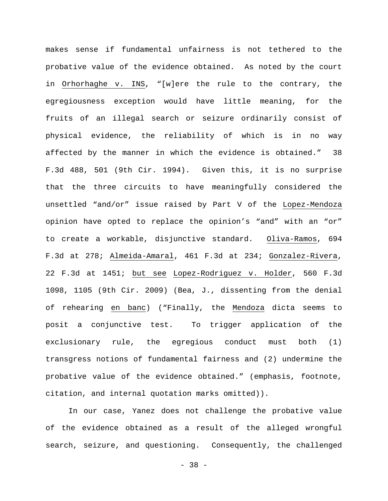makes sense if fundamental unfairness is not tethered to the probative value of the evidence obtained. As noted by the court in Orhorhaghe v. INS, "[w]ere the rule to the contrary, the egregiousness exception would have little meaning, for the fruits of an illegal search or seizure ordinarily consist of physical evidence, the reliability of which is in no way affected by the manner in which the evidence is obtained." 38 F.3d 488, 501 (9th Cir. 1994). Given this, it is no surprise that the three circuits to have meaningfully considered the unsettled "and/or" issue raised by Part V of the Lopez-Mendoza opinion have opted to replace the opinion's "and" with an "or" to create a workable, disjunctive standard. Oliva-Ramos, 694 F.3d at 278; Almeida-Amaral, 461 F.3d at 234; Gonzalez-Rivera, 22 F.3d at 1451; but see Lopez-Rodriguez v. Holder, 560 F.3d 1098, 1105 (9th Cir. 2009) (Bea, J., dissenting from the denial of rehearing en banc) ("Finally, the Mendoza dicta seems to posit a conjunctive test. To trigger application of the exclusionary rule, the egregious conduct must both (1) transgress notions of fundamental fairness and (2) undermine the probative value of the evidence obtained." (emphasis, footnote, citation, and internal quotation marks omitted)).

In our case, Yanez does not challenge the probative value of the evidence obtained as a result of the alleged wrongful search, seizure, and questioning. Consequently, the challenged

- 38 -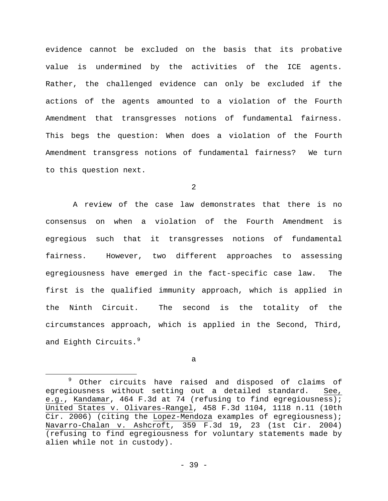evidence cannot be excluded on the basis that its probative value is undermined by the activities of the ICE agents. Rather, the challenged evidence can only be excluded if the actions of the agents amounted to a violation of the Fourth Amendment that transgresses notions of fundamental fairness. This begs the question: When does a violation of the Fourth Amendment transgress notions of fundamental fairness? We turn to this question next.

2

A review of the case law demonstrates that there is no consensus on when a violation of the Fourth Amendment is egregious such that it transgresses notions of fundamental fairness. However, two different approaches to assessing egregiousness have emerged in the fact-specific case law. The first is the qualified immunity approach, which is applied in the Ninth Circuit. The second is the totality of the circumstances approach, which is applied in the Second, Third, and Eighth Circuits.<sup>[9](#page-38-0)</sup>

a

Ĩ.

<span id="page-38-0"></span><sup>&</sup>lt;sup>9</sup> Other circuits have raised and disposed of claims of egregiousness without setting out a detailed standard. See, e.g., Kandamar, 464 F.3d at 74 (refusing to find egregiousness); United States v. Olivares-Rangel, 458 F.3d 1104, 1118 n.11 (10th Cir. 2006) (citing the Lopez-Mendoza examples of egregiousness); Navarro-Chalan v. Ashcroft, 359 F.3d 19, 23 (1st Cir. 2004) (refusing to find egregiousness for voluntary statements made by alien while not in custody).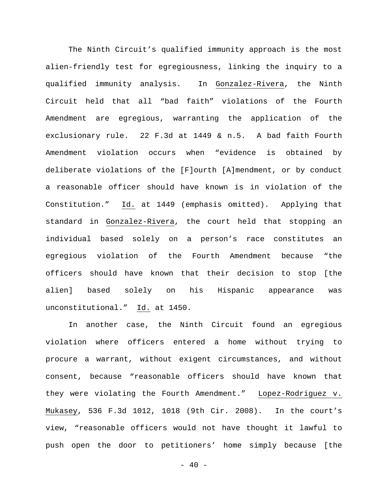The Ninth Circuit's qualified immunity approach is the most alien-friendly test for egregiousness, linking the inquiry to a qualified immunity analysis. In Gonzalez-Rivera, the Ninth Circuit held that all "bad faith" violations of the Fourth Amendment are egregious, warranting the application of the exclusionary rule. 22 F.3d at 1449 & n.5. A bad faith Fourth Amendment violation occurs when "evidence is obtained by deliberate violations of the [F]ourth [A]mendment, or by conduct a reasonable officer should have known is in violation of the Constitution." Id. at 1449 (emphasis omitted). Applying that standard in Gonzalez-Rivera, the court held that stopping an individual based solely on a person's race constitutes an egregious violation of the Fourth Amendment because "the officers should have known that their decision to stop [the alien] based solely on his Hispanic appearance was unconstitutional." Id. at 1450.

In another case, the Ninth Circuit found an egregious violation where officers entered a home without trying to procure a warrant, without exigent circumstances, and without consent, because "reasonable officers should have known that they were violating the Fourth Amendment." Lopez-Rodriguez v. Mukasey, 536 F.3d 1012, 1018 (9th Cir. 2008). In the court's view, "reasonable officers would not have thought it lawful to push open the door to petitioners' home simply because [the

 $- 40 -$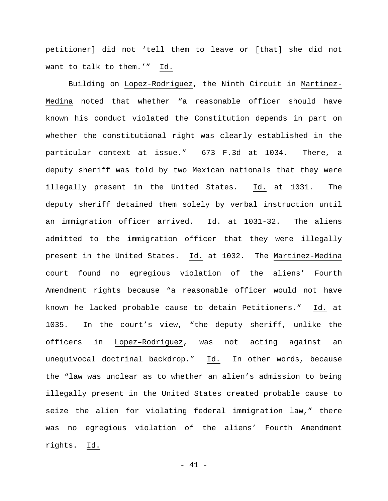petitioner] did not 'tell them to leave or [that] she did not want to talk to them.'" Id.

Building on Lopez-Rodriguez, the Ninth Circuit in Martinez-Medina noted that whether "a reasonable officer should have known his conduct violated the Constitution depends in part on whether the constitutional right was clearly established in the particular context at issue." 673 F.3d at 1034. There, a deputy sheriff was told by two Mexican nationals that they were illegally present in the United States. Id. at 1031. The deputy sheriff detained them solely by verbal instruction until an immigration officer arrived. Id. at 1031-32. The aliens admitted to the immigration officer that they were illegally present in the United States. Id. at 1032. The Martinez-Medina court found no egregious violation of the aliens' Fourth Amendment rights because "a reasonable officer would not have known he lacked probable cause to detain Petitioners." Id. at 1035. In the court's view, "the deputy sheriff, unlike the officers in Lopez–Rodriguez, was not acting against an unequivocal doctrinal backdrop." Id. In other words, because the "law was unclear as to whether an alien's admission to being illegally present in the United States created probable cause to seize the alien for violating federal immigration law," there was no egregious violation of the aliens' Fourth Amendment rights. Id.

 $- 41 -$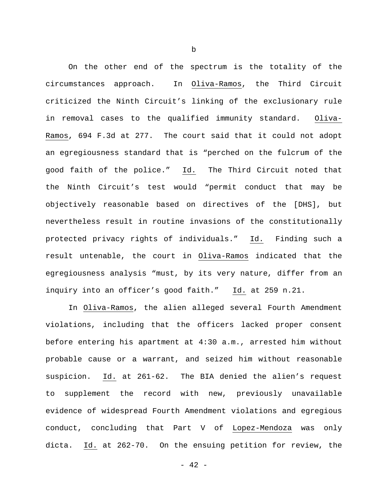On the other end of the spectrum is the totality of the circumstances approach. In Oliva-Ramos, the Third Circuit criticized the Ninth Circuit's linking of the exclusionary rule in removal cases to the qualified immunity standard. Oliva-Ramos, 694 F.3d at 277. The court said that it could not adopt an egregiousness standard that is "perched on the fulcrum of the good faith of the police." Id. The Third Circuit noted that the Ninth Circuit's test would "permit conduct that may be objectively reasonable based on directives of the [DHS], but nevertheless result in routine invasions of the constitutionally protected privacy rights of individuals." Id. Finding such a result untenable, the court in Oliva-Ramos indicated that the egregiousness analysis "must, by its very nature, differ from an inquiry into an officer's good faith." Id. at 259 n.21.

In Oliva-Ramos, the alien alleged several Fourth Amendment violations, including that the officers lacked proper consent before entering his apartment at 4:30 a.m., arrested him without probable cause or a warrant, and seized him without reasonable suspicion. Id. at 261-62. The BIA denied the alien's request to supplement the record with new, previously unavailable evidence of widespread Fourth Amendment violations and egregious conduct, concluding that Part V of Lopez-Mendoza was only dicta. Id. at 262-70. On the ensuing petition for review, the

b

 $- 42 -$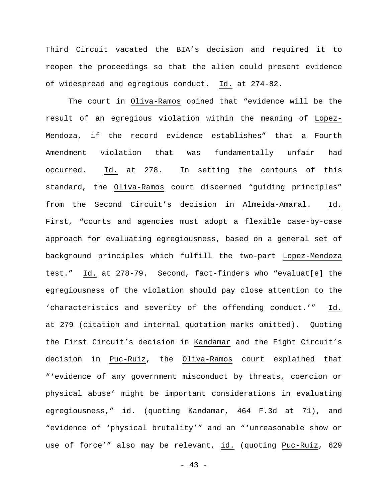Third Circuit vacated the BIA's decision and required it to reopen the proceedings so that the alien could present evidence of widespread and egregious conduct. Id. at 274-82.

The court in Oliva-Ramos opined that "evidence will be the result of an egregious violation within the meaning of Lopez-Mendoza, if the record evidence establishes" that a Fourth Amendment violation that was fundamentally unfair had occurred. Id. at 278. In setting the contours of this standard, the Oliva-Ramos court discerned "guiding principles" from the Second Circuit's decision in Almeida-Amaral. Id. First, "courts and agencies must adopt a flexible case-by-case approach for evaluating egregiousness, based on a general set of background principles which fulfill the two-part Lopez-Mendoza test." Id. at 278-79. Second, fact-finders who "evaluat[e] the egregiousness of the violation should pay close attention to the 'characteristics and severity of the offending conduct.'" Id. at 279 (citation and internal quotation marks omitted). Quoting the First Circuit's decision in Kandamar and the Eight Circuit's decision in Puc-Ruiz, the Oliva-Ramos court explained that "'evidence of any government misconduct by threats, coercion or physical abuse' might be important considerations in evaluating egregiousness," id. (quoting Kandamar, 464 F.3d at 71), and "evidence of 'physical brutality'" and an "'unreasonable show or use of force'" also may be relevant, id. (quoting Puc-Ruiz, 629

- 43 -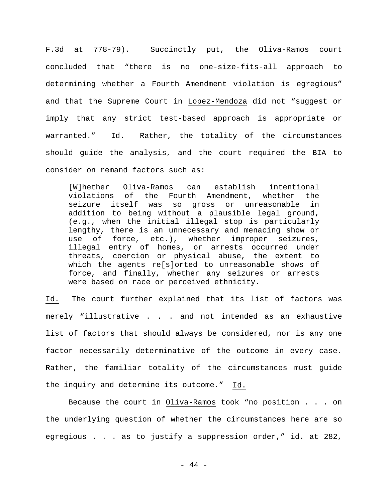F.3d at 778-79). Succinctly put, the Oliva-Ramos court concluded that "there is no one-size-fits-all approach to determining whether a Fourth Amendment violation is egregious" and that the Supreme Court in Lopez-Mendoza did not "suggest or imply that any strict test-based approach is appropriate or warranted." Id. Rather, the totality of the circumstances should guide the analysis, and the court required the BIA to consider on remand factors such as:

[W]hether Oliva-Ramos can establish intentional<br>violations of the Fourth Amendment, whether the the Fourth Amendment, whether the<br>was so gross or unreasonable in seizure itself was so gross or unreasonable addition to being without a plausible legal ground, (e.g., when the initial illegal stop is particularly lengthy, there is an unnecessary and menacing show or use of force, etc.), whether improper seizures, illegal entry of homes, or arrests occurred under threats, coercion or physical abuse, the extent to which the agents re[s]orted to unreasonable shows of force, and finally, whether any seizures or arrests were based on race or perceived ethnicity.

Id. The court further explained that its list of factors was merely "illustrative . . . and not intended as an exhaustive list of factors that should always be considered, nor is any one factor necessarily determinative of the outcome in every case. Rather, the familiar totality of the circumstances must guide the inquiry and determine its outcome." Id.

Because the court in Oliva-Ramos took "no position . . . on the underlying question of whether the circumstances here are so egregious . . . as to justify a suppression order," id. at 282,

- 44 -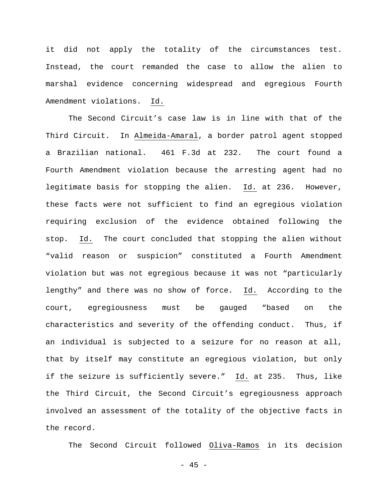it did not apply the totality of the circumstances test. Instead, the court remanded the case to allow the alien to marshal evidence concerning widespread and egregious Fourth Amendment violations. Id.

The Second Circuit's case law is in line with that of the Third Circuit. In Almeida-Amaral, a border patrol agent stopped a Brazilian national. 461 F.3d at 232. The court found a Fourth Amendment violation because the arresting agent had no legitimate basis for stopping the alien. Id. at 236. However, these facts were not sufficient to find an egregious violation requiring exclusion of the evidence obtained following the stop. Id. The court concluded that stopping the alien without "valid reason or suspicion" constituted a Fourth Amendment violation but was not egregious because it was not "particularly lengthy" and there was no show of force. Id. According to the court, egregiousness must be gauged "based on the characteristics and severity of the offending conduct. Thus, if an individual is subjected to a seizure for no reason at all, that by itself may constitute an egregious violation, but only if the seizure is sufficiently severe." Id. at 235. Thus, like the Third Circuit, the Second Circuit's egregiousness approach involved an assessment of the totality of the objective facts in the record.

The Second Circuit followed Oliva-Ramos in its decision

- 45 -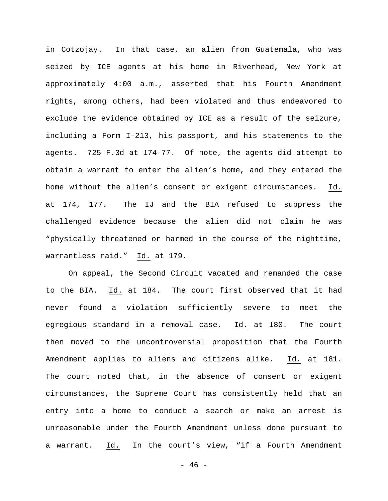in Cotzojay. In that case, an alien from Guatemala, who was seized by ICE agents at his home in Riverhead, New York at approximately 4:00 a.m., asserted that his Fourth Amendment rights, among others, had been violated and thus endeavored to exclude the evidence obtained by ICE as a result of the seizure, including a Form I-213, his passport, and his statements to the agents. 725 F.3d at 174-77. Of note, the agents did attempt to obtain a warrant to enter the alien's home, and they entered the home without the alien's consent or exigent circumstances. Id. at 174, 177. The IJ and the BIA refused to suppress the challenged evidence because the alien did not claim he was "physically threatened or harmed in the course of the nighttime, warrantless raid." Id. at 179.

On appeal, the Second Circuit vacated and remanded the case to the BIA. Id. at 184. The court first observed that it had never found a violation sufficiently severe to meet the egregious standard in a removal case. Id. at 180. The court then moved to the uncontroversial proposition that the Fourth Amendment applies to aliens and citizens alike. Id. at 181. The court noted that, in the absence of consent or exigent circumstances, the Supreme Court has consistently held that an entry into a home to conduct a search or make an arrest is unreasonable under the Fourth Amendment unless done pursuant to a warrant. Id. In the court's view, "if a Fourth Amendment

- 46 -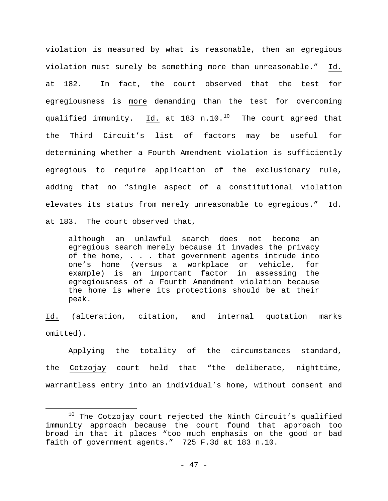violation is measured by what is reasonable, then an egregious violation must surely be something more than unreasonable." Id. at 182. In fact, the court observed that the test for egregiousness is more demanding than the test for overcoming qualified immunity. Id. at 183 n.10. $^{10}$  The court agreed that the Third Circuit's list of factors may be useful for determining whether a Fourth Amendment violation is sufficiently egregious to require application of the exclusionary rule, adding that no "single aspect of a constitutional violation elevates its status from merely unreasonable to egregious." Id. at 183. The court observed that,

although an unlawful search does not become an egregious search merely because it invades the privacy of the home, . . . that government agents intrude into<br>one's home (versus a workplace or vehicle, for one's home (versus a workplace or vehicle, example) is an important factor in assessing the egregiousness of a Fourth Amendment violation because the home is where its protections should be at their peak.

Id. (alteration, citation, and internal quotation marks omitted).

Applying the totality of the circumstances standard, the Cotzojay court held that "the deliberate, nighttime, warrantless entry into an individual's home, without consent and

<span id="page-46-0"></span> $10$  The Cotzojay court rejected the Ninth Circuit's qualified immunity approach because the court found that approach too broad in that it places "too much emphasis on the good or bad faith of government agents." 725 F.3d at 183 n.10. Ĩ.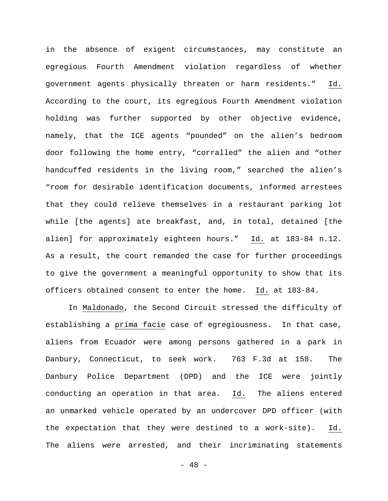in the absence of exigent circumstances, may constitute an egregious Fourth Amendment violation regardless of whether government agents physically threaten or harm residents." Id. According to the court, its egregious Fourth Amendment violation holding was further supported by other objective evidence, namely, that the ICE agents "pounded" on the alien's bedroom door following the home entry, "corralled" the alien and "other handcuffed residents in the living room," searched the alien's "room for desirable identification documents, informed arrestees that they could relieve themselves in a restaurant parking lot while [the agents] ate breakfast, and, in total, detained [the alien] for approximately eighteen hours." Id. at 183-84 n.12. As a result, the court remanded the case for further proceedings to give the government a meaningful opportunity to show that its officers obtained consent to enter the home. Id. at 183-84.

In Maldonado, the Second Circuit stressed the difficulty of establishing a prima facie case of egregiousness. In that case, aliens from Ecuador were among persons gathered in a park in Danbury, Connecticut, to seek work. 763 F.3d at 158. The Danbury Police Department (DPD) and the ICE were jointly conducting an operation in that area. Id. The aliens entered an unmarked vehicle operated by an undercover DPD officer (with the expectation that they were destined to a work-site). Id. The aliens were arrested, and their incriminating statements

- 48 -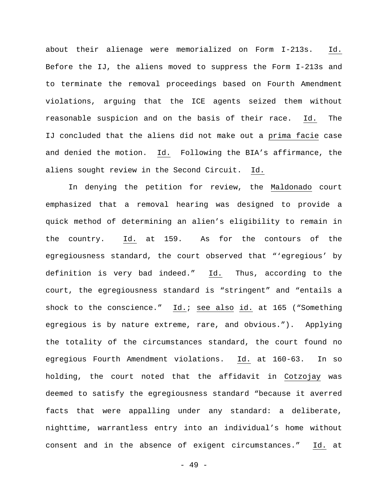about their alienage were memorialized on Form I-213s. Id. Before the IJ, the aliens moved to suppress the Form I-213s and to terminate the removal proceedings based on Fourth Amendment violations, arguing that the ICE agents seized them without reasonable suspicion and on the basis of their race. Id. The IJ concluded that the aliens did not make out a prima facie case and denied the motion. Id. Following the BIA's affirmance, the aliens sought review in the Second Circuit. Id.

In denying the petition for review, the Maldonado court emphasized that a removal hearing was designed to provide a quick method of determining an alien's eligibility to remain in the country. Id. at 159. As for the contours of the egregiousness standard, the court observed that "'egregious' by definition is very bad indeed." Id. Thus, according to the court, the egregiousness standard is "stringent" and "entails a shock to the conscience." Id.; see also id. at 165 ("Something egregious is by nature extreme, rare, and obvious."). Applying the totality of the circumstances standard, the court found no egregious Fourth Amendment violations. Id. at 160-63. In so holding, the court noted that the affidavit in Cotzojay was deemed to satisfy the egregiousness standard "because it averred facts that were appalling under any standard: a deliberate, nighttime, warrantless entry into an individual's home without consent and in the absence of exigent circumstances." Id. at

- 49 -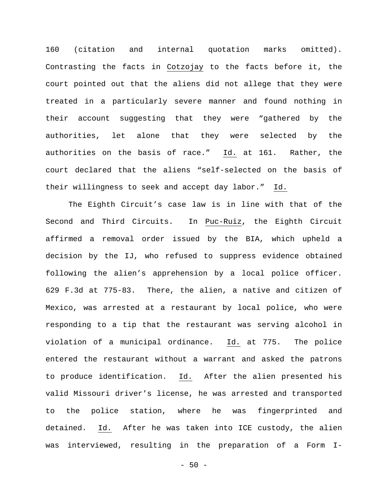160 (citation and internal quotation marks omitted). Contrasting the facts in Cotzojay to the facts before it, the court pointed out that the aliens did not allege that they were treated in a particularly severe manner and found nothing in their account suggesting that they were "gathered by the authorities, let alone that they were selected by the authorities on the basis of race." Id. at 161. Rather, the court declared that the aliens "self-selected on the basis of their willingness to seek and accept day labor." Id.

The Eighth Circuit's case law is in line with that of the Second and Third Circuits. In Puc-Ruiz, the Eighth Circuit affirmed a removal order issued by the BIA, which upheld a decision by the IJ, who refused to suppress evidence obtained following the alien's apprehension by a local police officer. 629 F.3d at 775-83. There, the alien, a native and citizen of Mexico, was arrested at a restaurant by local police, who were responding to a tip that the restaurant was serving alcohol in violation of a municipal ordinance. Id. at 775. The police entered the restaurant without a warrant and asked the patrons to produce identification. Id. After the alien presented his valid Missouri driver's license, he was arrested and transported to the police station, where he was fingerprinted and detained. Id. After he was taken into ICE custody, the alien was interviewed, resulting in the preparation of a Form I-

 $-50 -$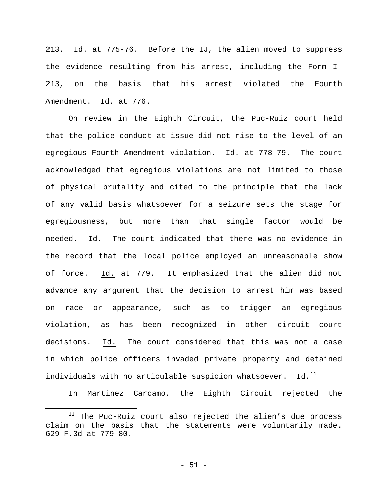213. Id. at 775-76. Before the IJ, the alien moved to suppress the evidence resulting from his arrest, including the Form I-213, on the basis that his arrest violated the Fourth Amendment. Id. at 776.

On review in the Eighth Circuit, the Puc-Ruiz court held that the police conduct at issue did not rise to the level of an egregious Fourth Amendment violation. Id. at 778-79. The court acknowledged that egregious violations are not limited to those of physical brutality and cited to the principle that the lack of any valid basis whatsoever for a seizure sets the stage for egregiousness, but more than that single factor would be needed. Id. The court indicated that there was no evidence in the record that the local police employed an unreasonable show of force. Id. at 779. It emphasized that the alien did not advance any argument that the decision to arrest him was based on race or appearance, such as to trigger an egregious violation, as has been recognized in other circuit court decisions. Id. The court considered that this was not a case in which police officers invaded private property and detained individuals with no articulable suspicion whatsoever. Id. $<sup>11</sup>$  $<sup>11</sup>$  $<sup>11</sup>$ </sup>

In Martinez Carcamo, the Eighth Circuit rejected the

<span id="page-50-0"></span> $11$  The Puc-Ruiz court also rejected the alien's due process claim on the basis that the statements were voluntarily made. 629 F.3d at 779-80. Ĩ.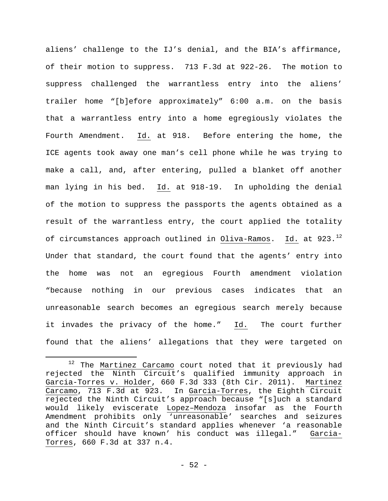aliens' challenge to the IJ's denial, and the BIA's affirmance, of their motion to suppress. 713 F.3d at 922-26. The motion to suppress challenged the warrantless entry into the aliens' trailer home "[b]efore approximately" 6:00 a.m. on the basis that a warrantless entry into a home egregiously violates the Fourth Amendment. Id. at 918. Before entering the home, the ICE agents took away one man's cell phone while he was trying to make a call, and, after entering, pulled a blanket off another man lying in his bed. Id. at 918-19. In upholding the denial of the motion to suppress the passports the agents obtained as a result of the warrantless entry, the court applied the totality of circumstances approach outlined in Oliva-Ramos. Id. at  $923.^{12}$  $923.^{12}$  $923.^{12}$ Under that standard, the court found that the agents' entry into the home was not an egregious Fourth amendment violation "because nothing in our previous cases indicates that an unreasonable search becomes an egregious search merely because it invades the privacy of the home." Id. The court further found that the aliens' allegations that they were targeted on

<span id="page-51-0"></span> $12$  The Martinez Carcamo court noted that it previously had rejected the Ninth Circuit's qualified immunity approach in Garcia-Torres v. Holder, 660 F.3d 333 (8th Cir. 2011). Martinez Carcamo, 713 F.3d at 923. In Garcia-Torres, the Eighth Circuit rejected the Ninth Circuit's approach because "[s]uch a standard would likely eviscerate Lopez–Mendoza insofar as the Fourth Amendment prohibits only 'unreasonable' searches and seizures and the Ninth Circuit's standard applies whenever 'a reasonable officer should have known' his conduct was illegal." Garcia-Torres, 660 F.3d at 337 n.4. Ĩ.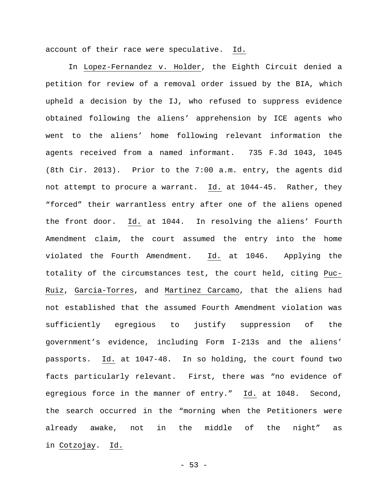account of their race were speculative. Id.

In Lopez-Fernandez v. Holder, the Eighth Circuit denied a petition for review of a removal order issued by the BIA, which upheld a decision by the IJ, who refused to suppress evidence obtained following the aliens' apprehension by ICE agents who went to the aliens' home following relevant information the agents received from a named informant. 735 F.3d 1043, 1045 (8th Cir. 2013). Prior to the 7:00 a.m. entry, the agents did not attempt to procure a warrant. Id. at 1044-45. Rather, they "forced" their warrantless entry after one of the aliens opened the front door. Id. at 1044. In resolving the aliens' Fourth Amendment claim, the court assumed the entry into the home violated the Fourth Amendment. Id. at 1046. Applying the totality of the circumstances test, the court held, citing Puc-Ruiz, Garcia-Torres, and Martinez Carcamo, that the aliens had not established that the assumed Fourth Amendment violation was sufficiently egregious to justify suppression of the government's evidence, including Form I-213s and the aliens' passports. Id. at 1047-48. In so holding, the court found two facts particularly relevant. First, there was "no evidence of egregious force in the manner of entry." Id. at 1048. Second, the search occurred in the "morning when the Petitioners were already awake, not in the middle of the night" as in Cotzojay. Id.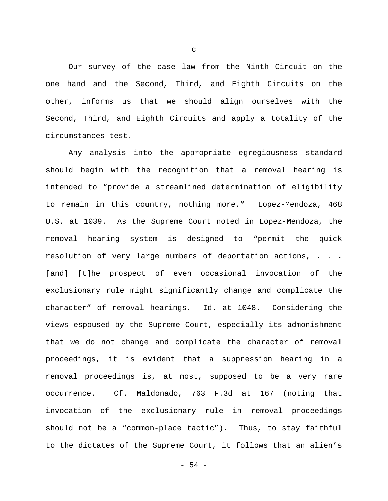Our survey of the case law from the Ninth Circuit on the one hand and the Second, Third, and Eighth Circuits on the other, informs us that we should align ourselves with the Second, Third, and Eighth Circuits and apply a totality of the circumstances test.

Any analysis into the appropriate egregiousness standard should begin with the recognition that a removal hearing is intended to "provide a streamlined determination of eligibility to remain in this country, nothing more." Lopez-Mendoza, 468 U.S. at 1039. As the Supreme Court noted in Lopez-Mendoza, the removal hearing system is designed to "permit the quick resolution of very large numbers of deportation actions, . . . [and] [t]he prospect of even occasional invocation of the exclusionary rule might significantly change and complicate the character" of removal hearings. Id. at 1048. Considering the views espoused by the Supreme Court, especially its admonishment that we do not change and complicate the character of removal proceedings, it is evident that a suppression hearing in a removal proceedings is, at most, supposed to be a very rare occurrence. Cf. Maldonado, 763 F.3d at 167 (noting that invocation of the exclusionary rule in removal proceedings should not be a "common-place tactic"). Thus, to stay faithful to the dictates of the Supreme Court, it follows that an alien's

c

- 54 -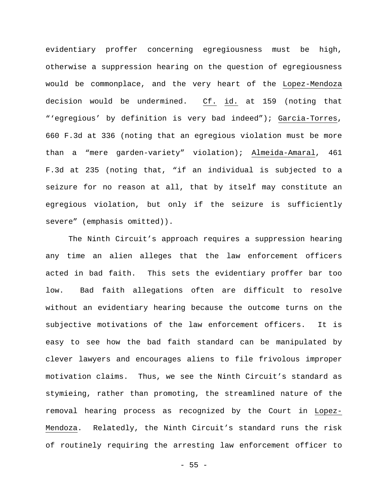evidentiary proffer concerning egregiousness must be high, otherwise a suppression hearing on the question of egregiousness would be commonplace, and the very heart of the Lopez-Mendoza decision would be undermined. Cf. id. at 159 (noting that "'egregious' by definition is very bad indeed"); Garcia-Torres, 660 F.3d at 336 (noting that an egregious violation must be more than a "mere garden-variety" violation); Almeida-Amaral, 461 F.3d at 235 (noting that, "if an individual is subjected to a seizure for no reason at all, that by itself may constitute an egregious violation, but only if the seizure is sufficiently severe" (emphasis omitted)).

The Ninth Circuit's approach requires a suppression hearing any time an alien alleges that the law enforcement officers acted in bad faith. This sets the evidentiary proffer bar too low. Bad faith allegations often are difficult to resolve without an evidentiary hearing because the outcome turns on the subjective motivations of the law enforcement officers. It is easy to see how the bad faith standard can be manipulated by clever lawyers and encourages aliens to file frivolous improper motivation claims. Thus, we see the Ninth Circuit's standard as stymieing, rather than promoting, the streamlined nature of the removal hearing process as recognized by the Court in Lopez-Mendoza. Relatedly, the Ninth Circuit's standard runs the risk of routinely requiring the arresting law enforcement officer to

 $- 55 -$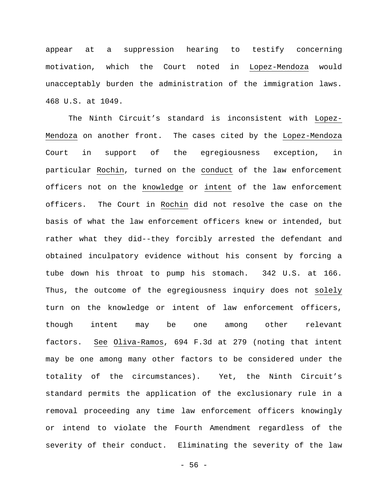appear at a suppression hearing to testify concerning motivation, which the Court noted in Lopez-Mendoza would unacceptably burden the administration of the immigration laws. 468 U.S. at 1049.

The Ninth Circuit's standard is inconsistent with Lopez-Mendoza on another front. The cases cited by the Lopez-Mendoza Court in support of the egregiousness exception, in particular Rochin, turned on the conduct of the law enforcement officers not on the knowledge or intent of the law enforcement officers. The Court in Rochin did not resolve the case on the basis of what the law enforcement officers knew or intended, but rather what they did--they forcibly arrested the defendant and obtained inculpatory evidence without his consent by forcing a tube down his throat to pump his stomach. 342 U.S. at 166. Thus, the outcome of the egregiousness inquiry does not solely turn on the knowledge or intent of law enforcement officers, though intent may be one among other relevant factors. See Oliva-Ramos, 694 F.3d at 279 (noting that intent may be one among many other factors to be considered under the totality of the circumstances). Yet, the Ninth Circuit's standard permits the application of the exclusionary rule in a removal proceeding any time law enforcement officers knowingly or intend to violate the Fourth Amendment regardless of the severity of their conduct. Eliminating the severity of the law

- 56 -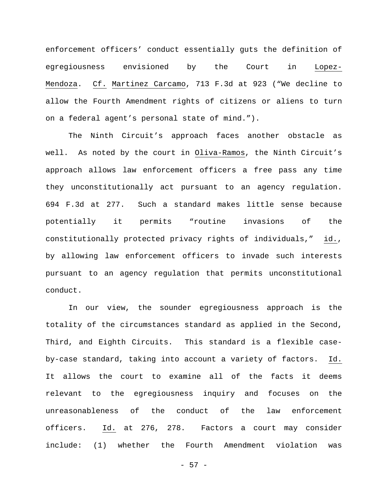enforcement officers' conduct essentially guts the definition of egregiousness envisioned by the Court in Lopez-Mendoza. Cf. Martinez Carcamo, 713 F.3d at 923 ("We decline to allow the Fourth Amendment rights of citizens or aliens to turn on a federal agent's personal state of mind.").

The Ninth Circuit's approach faces another obstacle as well. As noted by the court in Oliva-Ramos, the Ninth Circuit's approach allows law enforcement officers a free pass any time they unconstitutionally act pursuant to an agency regulation. 694 F.3d at 277. Such a standard makes little sense because potentially it permits "routine invasions of the constitutionally protected privacy rights of individuals," id., by allowing law enforcement officers to invade such interests pursuant to an agency regulation that permits unconstitutional conduct.

In our view, the sounder egregiousness approach is the totality of the circumstances standard as applied in the Second, Third, and Eighth Circuits. This standard is a flexible caseby-case standard, taking into account a variety of factors. Id. It allows the court to examine all of the facts it deems relevant to the egregiousness inquiry and focuses on the unreasonableness of the conduct of the law enforcement officers. Id. at 276, 278. Factors a court may consider include: (1) whether the Fourth Amendment violation was

- 57 -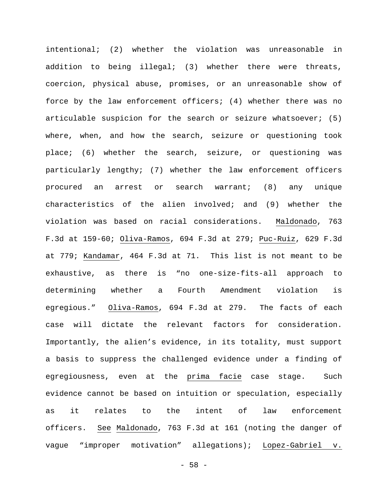intentional; (2) whether the violation was unreasonable in addition to being illegal; (3) whether there were threats, coercion, physical abuse, promises, or an unreasonable show of force by the law enforcement officers; (4) whether there was no articulable suspicion for the search or seizure whatsoever; (5) where, when, and how the search, seizure or questioning took place; (6) whether the search, seizure, or questioning was particularly lengthy; (7) whether the law enforcement officers procured an arrest or search warrant; (8) any unique characteristics of the alien involved; and (9) whether the violation was based on racial considerations. Maldonado, 763 F.3d at 159-60; Oliva-Ramos, 694 F.3d at 279; Puc-Ruiz, 629 F.3d at 779; Kandamar, 464 F.3d at 71. This list is not meant to be exhaustive, as there is "no one-size-fits-all approach to determining whether a Fourth Amendment violation is egregious." Oliva-Ramos, 694 F.3d at 279. The facts of each case will dictate the relevant factors for consideration. Importantly, the alien's evidence, in its totality, must support a basis to suppress the challenged evidence under a finding of egregiousness, even at the prima facie case stage. Such evidence cannot be based on intuition or speculation, especially as it relates to the intent of law enforcement officers. See Maldonado, 763 F.3d at 161 (noting the danger of vague "improper motivation" allegations); Lopez-Gabriel v.

- 58 -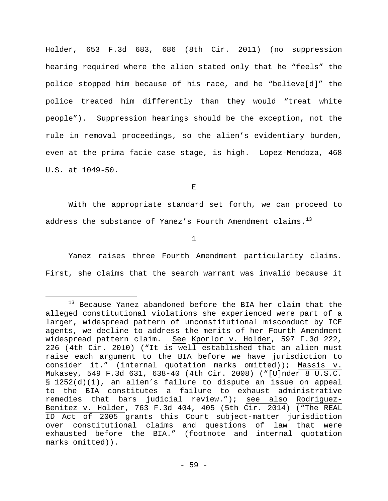Holder, 653 F.3d 683, 686 (8th Cir. 2011) (no suppression hearing required where the alien stated only that he "feels" the police stopped him because of his race, and he "believe[d]" the police treated him differently than they would "treat white people"). Suppression hearings should be the exception, not the rule in removal proceedings, so the alien's evidentiary burden, even at the prima facie case stage, is high. Lopez-Mendoza, 468 U.S. at 1049-50.

E

With the appropriate standard set forth, we can proceed to address the substance of Yanez's Fourth Amendment claims. $^{13}$  $^{13}$  $^{13}$ 

1

Yanez raises three Fourth Amendment particularity claims. First, she claims that the search warrant was invalid because it

<span id="page-58-0"></span><sup>13</sup> Because Yanez abandoned before the BIA her claim that the alleged constitutional violations she experienced were part of a larger, widespread pattern of unconstitutional misconduct by ICE agents, we decline to address the merits of her Fourth Amendment widespread pattern claim. See Kporlor v. Holder, 597 F.3d 222, 226 (4th Cir. 2010) ("It is well established that an alien must raise each argument to the BIA before we have jurisdiction to consider it." (internal quotation marks omitted)); Massis v. Mukasey, 549 F.3d 631, 638-40 (4th Cir. 2008) ("[U]nder 8 U.S.C. § 1252(d)(1), an alien's failure to dispute an issue on appeal to the BIA constitutes a failure to exhaust administrative remedies that bars judicial review."); see also Rodriguez-Benitez v. Holder, 763 F.3d 404, 405 (5th Cir. 2014) ("The REAL ID Act of 2005 grants this Court subject-matter jurisdiction over constitutional claims and questions of law that were exhausted before the BIA." (footnote and internal quotation marks omitted)). Ĩ.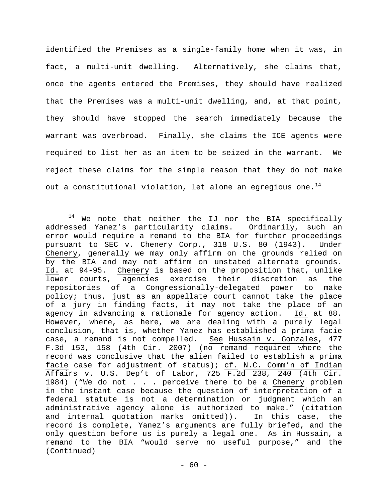identified the Premises as a single-family home when it was, in fact, a multi-unit dwelling. Alternatively, she claims that, once the agents entered the Premises, they should have realized that the Premises was a multi-unit dwelling, and, at that point, they should have stopped the search immediately because the warrant was overbroad. Finally, she claims the ICE agents were required to list her as an item to be seized in the warrant. We reject these claims for the simple reason that they do not make out a constitutional violation, let alone an egregious one.<sup>[14](#page-59-0)</sup>

<span id="page-59-0"></span> $14$  We note that neither the IJ nor the BIA specifically addressed Yanez's particularity claims. Ordinarily, such an error would require a remand to the BIA for further proceedings pursuant to SEC v. Chenery Corp., 318 U.S. 80 (1943). Under Chenery, generally we may only affirm on the grounds relied on by the BIA and may not affirm on unstated alternate grounds. Id. at 94-95. Chenery is based on the proposition that, unlike lower courts, agencies exercise their discretion as the repositories of a Congressionally-delegated power to make policy; thus, just as an appellate court cannot take the place of a jury in finding facts, it may not take the place of an agency in advancing a rationale for agency action. Id. at 88. However, where, as here, we are dealing with a purely legal conclusion, that is, whether Yanez has established a prima facie case, a remand is not compelled. See Hussain v. Gonzales, 477 F.3d 153, 158 (4th Cir. 2007) (no remand required where the record was conclusive that the alien failed to establish a prima facie case for adjustment of status); cf. N.C. Comm'n of Indian Affairs v. U.S. Dep't of Labor, 725 F.2d 238, 240 (4th Cir. 1984) ("We do not . . . perceive there to be a Chenery problem in the instant case because the question of interpretation of a federal statute is not a determination or judgment which an administrative agency alone is authorized to make." (citation and internal quotation marks omitted)). In this case, the record is complete, Yanez's arguments are fully briefed, and the only question before us is purely a legal one. As in Hussain, a remand to the BIA "would serve no useful purpose," and the Ĩ. (Continued)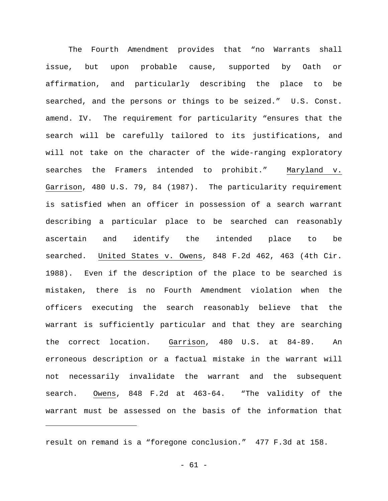The Fourth Amendment provides that "no Warrants shall issue, but upon probable cause, supported by Oath or affirmation, and particularly describing the place to be searched, and the persons or things to be seized." U.S. Const. amend. IV. The requirement for particularity "ensures that the search will be carefully tailored to its justifications, and will not take on the character of the wide-ranging exploratory searches the Framers intended to prohibit." Maryland v. Garrison, 480 U.S. 79, 84 (1987). The particularity requirement is satisfied when an officer in possession of a search warrant describing a particular place to be searched can reasonably ascertain and identify the intended place to be searched. United States v. Owens, 848 F.2d 462, 463 (4th Cir. 1988). Even if the description of the place to be searched is mistaken, there is no Fourth Amendment violation when the officers executing the search reasonably believe that the warrant is sufficiently particular and that they are searching the correct location. Garrison, 480 U.S. at 84-89. An erroneous description or a factual mistake in the warrant will not necessarily invalidate the warrant and the subsequent search. Owens, 848 F.2d at 463-64. "The validity of the warrant must be assessed on the basis of the information that

result on remand is a "foregone conclusion." 477 F.3d at 158.

Ĩ.

- 61 -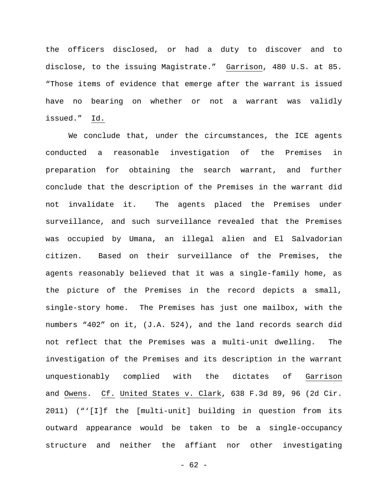the officers disclosed, or had a duty to discover and to disclose, to the issuing Magistrate." Garrison, 480 U.S. at 85. "Those items of evidence that emerge after the warrant is issued have no bearing on whether or not a warrant was validly issued." Id.

We conclude that, under the circumstances, the ICE agents conducted a reasonable investigation of the Premises in preparation for obtaining the search warrant, and further conclude that the description of the Premises in the warrant did not invalidate it. The agents placed the Premises under surveillance, and such surveillance revealed that the Premises was occupied by Umana, an illegal alien and El Salvadorian citizen. Based on their surveillance of the Premises, the agents reasonably believed that it was a single-family home, as the picture of the Premises in the record depicts a small, single-story home. The Premises has just one mailbox, with the numbers "402" on it, (J.A. 524), and the land records search did not reflect that the Premises was a multi-unit dwelling. The investigation of the Premises and its description in the warrant unquestionably complied with the dictates of Garrison and Owens. Cf. United States v. Clark, 638 F.3d 89, 96 (2d Cir. 2011) ("'[I]f the [multi-unit] building in question from its outward appearance would be taken to be a single-occupancy structure and neither the affiant nor other investigating

 $- 62 -$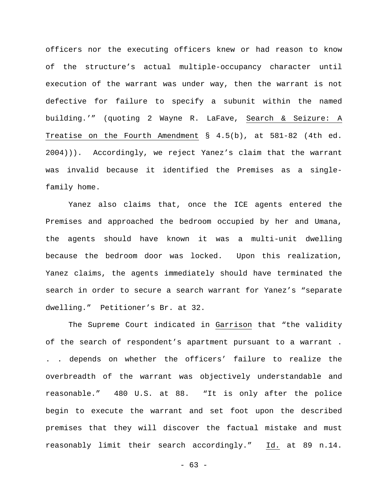officers nor the executing officers knew or had reason to know of the structure's actual multiple-occupancy character until execution of the warrant was under way, then the warrant is not defective for failure to specify a subunit within the named building.'" (quoting 2 Wayne R. LaFave, Search & Seizure: A Treatise on the Fourth Amendment § 4.5(b), at 581-82 (4th ed. 2004))). Accordingly, we reject Yanez's claim that the warrant was invalid because it identified the Premises as a singlefamily home.

Yanez also claims that, once the ICE agents entered the Premises and approached the bedroom occupied by her and Umana, the agents should have known it was a multi-unit dwelling because the bedroom door was locked. Upon this realization, Yanez claims, the agents immediately should have terminated the search in order to secure a search warrant for Yanez's "separate dwelling." Petitioner's Br. at 32.

The Supreme Court indicated in Garrison that "the validity of the search of respondent's apartment pursuant to a warrant . . . depends on whether the officers' failure to realize the overbreadth of the warrant was objectively understandable and reasonable." 480 U.S. at 88. "It is only after the police begin to execute the warrant and set foot upon the described premises that they will discover the factual mistake and must reasonably limit their search accordingly." Id. at 89 n.14.

- 63 -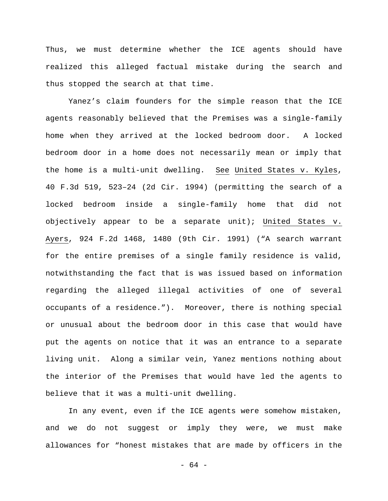Thus, we must determine whether the ICE agents should have realized this alleged factual mistake during the search and thus stopped the search at that time.

Yanez's claim founders for the simple reason that the ICE agents reasonably believed that the Premises was a single-family home when they arrived at the locked bedroom door. A locked bedroom door in a home does not necessarily mean or imply that the home is a multi-unit dwelling. See United States v. Kyles, 40 F.3d 519, 523–24 (2d Cir. 1994) (permitting the search of a locked bedroom inside a single-family home that did not objectively appear to be a separate unit); United States v. Ayers, 924 F.2d 1468, 1480 (9th Cir. 1991) ("A search warrant for the entire premises of a single family residence is valid, notwithstanding the fact that is was issued based on information regarding the alleged illegal activities of one of several occupants of a residence."). Moreover, there is nothing special or unusual about the bedroom door in this case that would have put the agents on notice that it was an entrance to a separate living unit. Along a similar vein, Yanez mentions nothing about the interior of the Premises that would have led the agents to believe that it was a multi-unit dwelling.

In any event, even if the ICE agents were somehow mistaken, and we do not suggest or imply they were, we must make allowances for "honest mistakes that are made by officers in the

- 64 -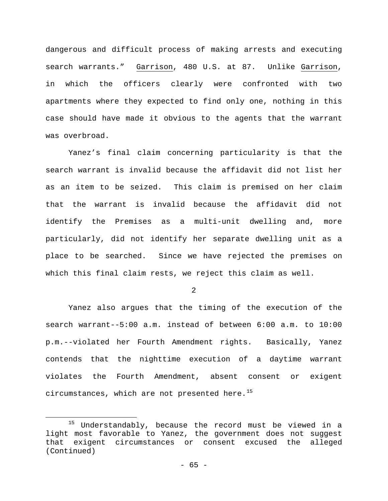dangerous and difficult process of making arrests and executing search warrants." Garrison, 480 U.S. at 87. Unlike Garrison, in which the officers clearly were confronted with two apartments where they expected to find only one, nothing in this case should have made it obvious to the agents that the warrant was overbroad.

Yanez's final claim concerning particularity is that the search warrant is invalid because the affidavit did not list her as an item to be seized. This claim is premised on her claim that the warrant is invalid because the affidavit did not identify the Premises as a multi-unit dwelling and, more particularly, did not identify her separate dwelling unit as a place to be searched. Since we have rejected the premises on which this final claim rests, we reject this claim as well.

2

Yanez also argues that the timing of the execution of the search warrant--5:00 a.m. instead of between 6:00 a.m. to 10:00 p.m.--violated her Fourth Amendment rights. Basically, Yanez contends that the nighttime execution of a daytime warrant violates the Fourth Amendment, absent consent or exigent circumstances, which are not presented here. $^{15}$  $^{15}$  $^{15}$ 

<span id="page-64-0"></span><sup>&</sup>lt;sup>15</sup> Understandably, because the record must be viewed in a light most favorable to Yanez, the government does not suggest that exigent circumstances or consent excused the alleged Ĩ. (Continued)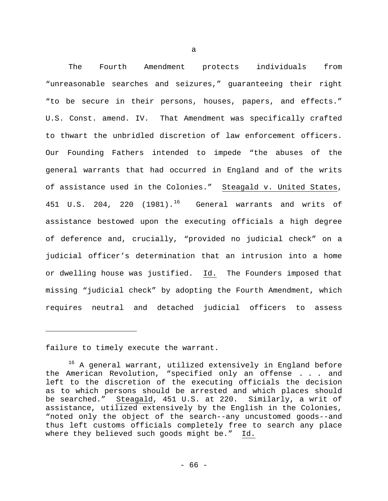The Fourth Amendment protects individuals from "unreasonable searches and seizures," guaranteeing their right "to be secure in their persons, houses, papers, and effects." U.S. Const. amend. IV. That Amendment was specifically crafted to thwart the unbridled discretion of law enforcement officers. Our Founding Fathers intended to impede "the abuses of the general warrants that had occurred in England and of the writs of assistance used in the Colonies." Steagald v. United States, 451 U.S. 204, 220  $(1981).$ <sup>[16](#page-65-0)</sup> General warrants and writs of assistance bestowed upon the executing officials a high degree of deference and, crucially, "provided no judicial check" on a judicial officer's determination that an intrusion into a home or dwelling house was justified. Id. The Founders imposed that missing "judicial check" by adopting the Fourth Amendment, which requires neutral and detached judicial officers to assess

failure to timely execute the warrant.

Ĩ.

<span id="page-65-0"></span><sup>&</sup>lt;sup>16</sup> A general warrant, utilized extensively in England before the American Revolution, "specified only an offense . . . and left to the discretion of the executing officials the decision as to which persons should be arrested and which places should be searched." Steagald, 451 U.S. at 220. Similarly, a writ of assistance, utilized extensively by the English in the Colonies, "noted only the object of the search--any uncustomed goods--and thus left customs officials completely free to search any place where they believed such goods might be." Id.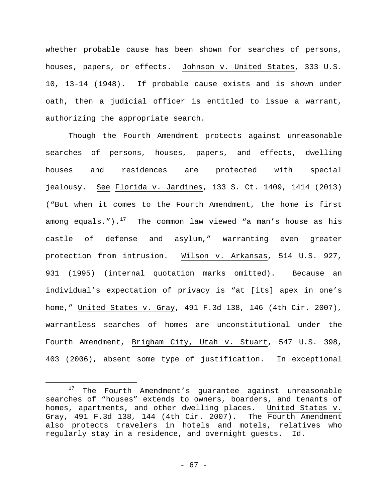whether probable cause has been shown for searches of persons, houses, papers, or effects. Johnson v. United States, 333 U.S. 10, 13-14 (1948). If probable cause exists and is shown under oath, then a judicial officer is entitled to issue a warrant, authorizing the appropriate search.

Though the Fourth Amendment protects against unreasonable searches of persons, houses, papers, and effects, dwelling houses and residences are protected with special jealousy. See Florida v. Jardines, 133 S. Ct. 1409, 1414 (2013) ("But when it comes to the Fourth Amendment, the home is first among equals."). $17$  The common law viewed "a man's house as his castle of defense and asylum," warranting even greater protection from intrusion. Wilson v. Arkansas, 514 U.S. 927, 931 (1995) (internal quotation marks omitted). Because an individual's expectation of privacy is "at [its] apex in one's home," United States v. Gray, 491 F.3d 138, 146 (4th Cir. 2007), warrantless searches of homes are unconstitutional under the Fourth Amendment, Brigham City, Utah v. Stuart, 547 U.S. 398, 403 (2006), absent some type of justification. In exceptional

ī

<span id="page-66-0"></span><sup>&</sup>lt;sup>17</sup> The Fourth Amendment's guarantee against unreasonable searches of "houses" extends to owners, boarders, and tenants of homes, apartments, and other dwelling places. United States v. Gray, 491 F.3d 138, 144 (4th Cir. 2007). The Fourth Amendment also protects travelers in hotels and motels, relatives who regularly stay in a residence, and overnight guests. Id.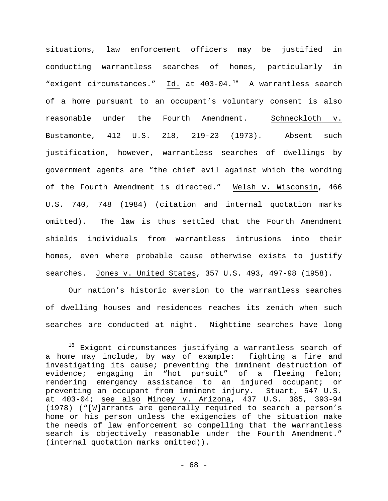situations, law enforcement officers may be justified in conducting warrantless searches of homes, particularly in "exigent circumstances." Id. at 403-04.<sup>18</sup> A warrantless search of a home pursuant to an occupant's voluntary consent is also reasonable under the Fourth Amendment. Schneckloth v. Bustamonte, 412 U.S. 218, 219-23 (1973). Absent such justification, however, warrantless searches of dwellings by government agents are "the chief evil against which the wording of the Fourth Amendment is directed." Welsh v. Wisconsin, 466 U.S. 740, 748 (1984) (citation and internal quotation marks omitted). The law is thus settled that the Fourth Amendment shields individuals from warrantless intrusions into their homes, even where probable cause otherwise exists to justify searches. Jones v. United States, 357 U.S. 493, 497-98 (1958).

Our nation's historic aversion to the warrantless searches of dwelling houses and residences reaches its zenith when such searches are conducted at night. Nighttime searches have long

<span id="page-67-0"></span> $18$  Exigent circumstances justifying a warrantless search of a home may include, by way of example: fighting a fire and investigating its cause; preventing the imminent destruction of evidence; engaging in "hot pursuit" of a fleeing felon; rendering emergency assistance to an injured occupant; or preventing an occupant from imminent injury. Stuart, 547 U.S. at 403-04; see also Mincey v. Arizona, 437 U.S. 385, 393-94 (1978) ("[W]arrants are generally required to search a person's home or his person unless the exigencies of the situation make the needs of law enforcement so compelling that the warrantless search is objectively reasonable under the Fourth Amendment." (internal quotation marks omitted)). Ĩ.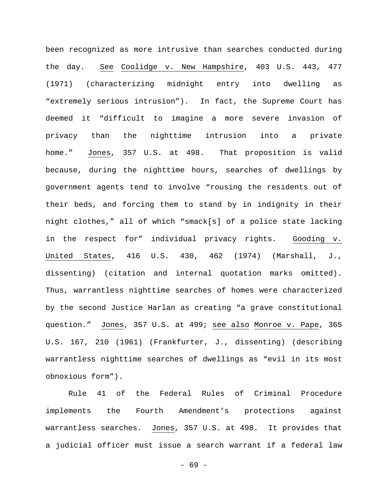been recognized as more intrusive than searches conducted during the day. See Coolidge v. New Hampshire, 403 U.S. 443, 477 (1971) (characterizing midnight entry into dwelling as "extremely serious intrusion"). In fact, the Supreme Court has deemed it "difficult to imagine a more severe invasion of privacy than the nighttime intrusion into a private home." Jones, 357 U.S. at 498. That proposition is valid because, during the nighttime hours, searches of dwellings by government agents tend to involve "rousing the residents out of their beds, and forcing them to stand by in indignity in their night clothes," all of which "smack[s] of a police state lacking in the respect for" individual privacy rights. Gooding v. United States, 416 U.S. 430, 462 (1974) (Marshall, J., dissenting) (citation and internal quotation marks omitted). Thus, warrantless nighttime searches of homes were characterized by the second Justice Harlan as creating "a grave constitutional question." Jones, 357 U.S. at 499; see also Monroe v. Pape, 365 U.S. 167, 210 (1961) (Frankfurter, J., dissenting) (describing warrantless nighttime searches of dwellings as "evil in its most obnoxious form").

Rule 41 of the Federal Rules of Criminal Procedure implements the Fourth Amendment's protections against warrantless searches. Jones, 357 U.S. at 498. It provides that a judicial officer must issue a search warrant if a federal law

- 69 -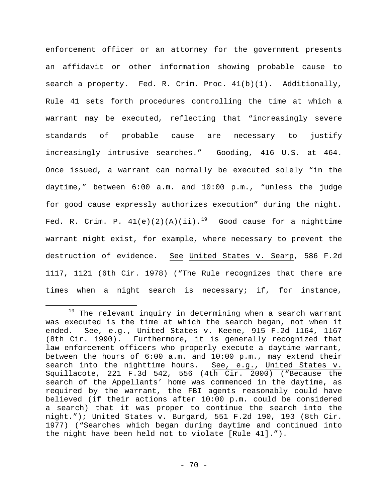enforcement officer or an attorney for the government presents an affidavit or other information showing probable cause to search a property. Fed. R. Crim. Proc. 41(b)(1). Additionally, Rule 41 sets forth procedures controlling the time at which a warrant may be executed, reflecting that "increasingly severe standards of probable cause are necessary to justify increasingly intrusive searches." Gooding, 416 U.S. at 464. Once issued, a warrant can normally be executed solely "in the daytime," between 6:00 a.m. and 10:00 p.m., "unless the judge for good cause expressly authorizes execution" during the night. Fed. R. Crim. P.  $41(e)(2)(A)(ii).$ <sup>[19](#page-69-0)</sup> Good cause for a nighttime warrant might exist, for example, where necessary to prevent the destruction of evidence. See United States v. Searp, 586 F.2d 1117, 1121 (6th Cir. 1978) ("The Rule recognizes that there are times when a night search is necessary; if, for instance,

<span id="page-69-0"></span><sup>&</sup>lt;sup>19</sup> The relevant inquiry in determining when a search warrant was executed is the time at which the search began, not when it ended. See, e.g., United States v. Keene, 915 F.2d 1164, 1167 (8th Cir. 1990). Furthermore, it is generally recognized that law enforcement officers who properly execute a daytime warrant, between the hours of 6:00 a.m. and 10:00 p.m., may extend their search into the nighttime hours. See, e.g., United States v. Squillacote, 221 F.3d 542, 556 (4th Cir. 2000) ("Because the search of the Appellants' home was commenced in the daytime, as required by the warrant, the FBI agents reasonably could have believed (if their actions after 10:00 p.m. could be considered a search) that it was proper to continue the search into the night."); United States v. Burgard, 551 F.2d 190, 193 (8th Cir. 1977) ("Searches which began during daytime and continued into the night have been held not to violate [Rule 41]."). ī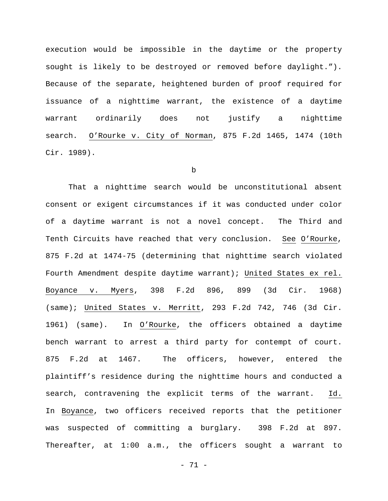execution would be impossible in the daytime or the property sought is likely to be destroyed or removed before daylight."). Because of the separate, heightened burden of proof required for issuance of a nighttime warrant, the existence of a daytime warrant ordinarily does not justify a nighttime search. O'Rourke v. City of Norman, 875 F.2d 1465, 1474 (10th Cir. 1989).

## b

That a nighttime search would be unconstitutional absent consent or exigent circumstances if it was conducted under color of a daytime warrant is not a novel concept. The Third and Tenth Circuits have reached that very conclusion. See O'Rourke, 875 F.2d at 1474-75 (determining that nighttime search violated Fourth Amendment despite daytime warrant); United States ex rel. Boyance v. Myers, 398 F.2d 896, 899 (3d Cir. 1968) (same); United States v. Merritt, 293 F.2d 742, 746 (3d Cir. 1961) (same). In O'Rourke, the officers obtained a daytime bench warrant to arrest a third party for contempt of court. 875 F.2d at 1467. The officers, however, entered the plaintiff's residence during the nighttime hours and conducted a search, contravening the explicit terms of the warrant. Id. In Boyance, two officers received reports that the petitioner was suspected of committing a burglary. 398 F.2d at 897. Thereafter, at 1:00 a.m., the officers sought a warrant to

- 71 -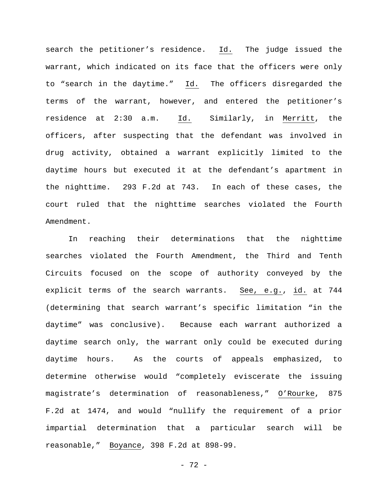search the petitioner's residence. Id. The judge issued the warrant, which indicated on its face that the officers were only to "search in the daytime." Id. The officers disregarded the terms of the warrant, however, and entered the petitioner's residence at 2:30 a.m. Id. Similarly, in Merritt, the officers, after suspecting that the defendant was involved in drug activity, obtained a warrant explicitly limited to the daytime hours but executed it at the defendant's apartment in the nighttime. 293 F.2d at 743. In each of these cases, the court ruled that the nighttime searches violated the Fourth Amendment.

In reaching their determinations that the nighttime searches violated the Fourth Amendment, the Third and Tenth Circuits focused on the scope of authority conveyed by the explicit terms of the search warrants. See, e.g., id. at 744 (determining that search warrant's specific limitation "in the daytime" was conclusive). Because each warrant authorized a daytime search only, the warrant only could be executed during daytime hours. As the courts of appeals emphasized, to determine otherwise would "completely eviscerate the issuing magistrate's determination of reasonableness," O'Rourke, 875 F.2d at 1474, and would "nullify the requirement of a prior impartial determination that a particular search will be reasonable," Boyance, 398 F.2d at 898-99.

- 72 -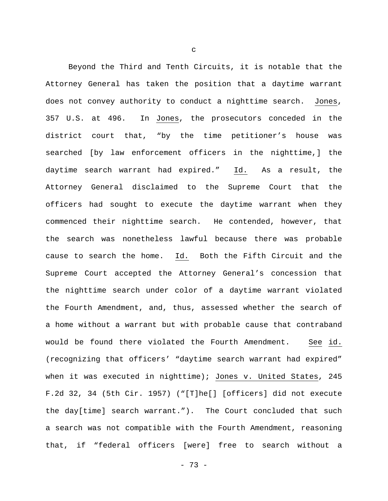Beyond the Third and Tenth Circuits, it is notable that the Attorney General has taken the position that a daytime warrant does not convey authority to conduct a nighttime search. Jones, 357 U.S. at 496. In Jones, the prosecutors conceded in the district court that, "by the time petitioner's house was searched [by law enforcement officers in the nighttime,] the daytime search warrant had expired." Id. As a result, the Attorney General disclaimed to the Supreme Court that the officers had sought to execute the daytime warrant when they commenced their nighttime search. He contended, however, that the search was nonetheless lawful because there was probable cause to search the home. Id. Both the Fifth Circuit and the Supreme Court accepted the Attorney General's concession that the nighttime search under color of a daytime warrant violated the Fourth Amendment, and, thus, assessed whether the search of a home without a warrant but with probable cause that contraband would be found there violated the Fourth Amendment. See id. (recognizing that officers' "daytime search warrant had expired" when it was executed in nighttime); Jones v. United States, 245 F.2d 32, 34 (5th Cir. 1957) ("[T]he[] [officers] did not execute the day[time] search warrant."). The Court concluded that such a search was not compatible with the Fourth Amendment, reasoning that, if "federal officers [were] free to search without a

c

- 73 -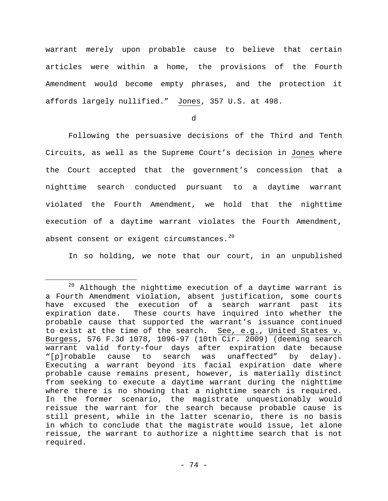warrant merely upon probable cause to believe that certain articles were within a home, the provisions of the Fourth Amendment would become empty phrases, and the protection it affords largely nullified." Jones, 357 U.S. at 498.

d

Following the persuasive decisions of the Third and Tenth Circuits, as well as the Supreme Court's decision in Jones where the Court accepted that the government's concession that a nighttime search conducted pursuant to a daytime warrant violated the Fourth Amendment, we hold that the nighttime execution of a daytime warrant violates the Fourth Amendment, absent consent or exigent circumstances.  $20$ 

In so holding, we note that our court, in an unpublished

<span id="page-73-0"></span> $20$  Although the nighttime execution of a daytime warrant is a Fourth Amendment violation, absent justification, some courts have excused the execution of a search warrant past its expiration date. These courts have inquired into whether the probable cause that supported the warrant's issuance continued to exist at the time of the search. See, e.g., United States v. Burgess, 576 F.3d 1078, 1096-97 (10th Cir. 2009) (deeming search warrant valid forty-four days after expiration date because<br>"[p]robable cause to search was unaffected" by delay). cause to search was unaffected" by delay). Executing a warrant beyond its facial expiration date where probable cause remains present, however, is materially distinct from seeking to execute a daytime warrant during the nighttime where there is no showing that a nighttime search is required. In the former scenario, the magistrate unquestionably would reissue the warrant for the search because probable cause is still present, while in the latter scenario, there is no basis in which to conclude that the magistrate would issue, let alone reissue, the warrant to authorize a nighttime search that is not required. Ĩ.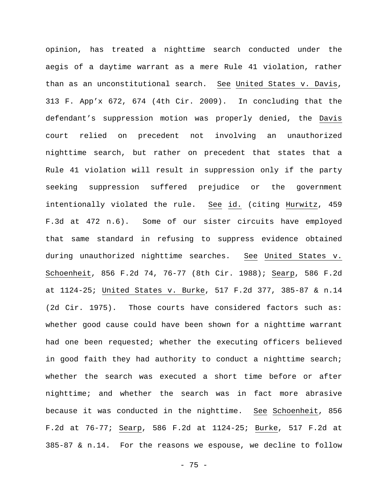opinion, has treated a nighttime search conducted under the aegis of a daytime warrant as a mere Rule 41 violation, rather than as an unconstitutional search. See United States v. Davis, 313 F. App'x 672, 674 (4th Cir. 2009). In concluding that the defendant's suppression motion was properly denied, the Davis court relied on precedent not involving an unauthorized nighttime search, but rather on precedent that states that a Rule 41 violation will result in suppression only if the party seeking suppression suffered prejudice or the government intentionally violated the rule. See id. (citing Hurwitz, 459 F.3d at 472 n.6). Some of our sister circuits have employed that same standard in refusing to suppress evidence obtained during unauthorized nighttime searches. See United States v. Schoenheit, 856 F.2d 74, 76-77 (8th Cir. 1988); Searp, 586 F.2d at 1124-25; United States v. Burke, 517 F.2d 377, 385-87 & n.14 (2d Cir. 1975). Those courts have considered factors such as: whether good cause could have been shown for a nighttime warrant had one been requested; whether the executing officers believed in good faith they had authority to conduct a nighttime search; whether the search was executed a short time before or after nighttime; and whether the search was in fact more abrasive because it was conducted in the nighttime. See Schoenheit, 856 F.2d at 76-77; Searp, 586 F.2d at 1124-25; Burke, 517 F.2d at 385-87 & n.14. For the reasons we espouse, we decline to follow

- 75 -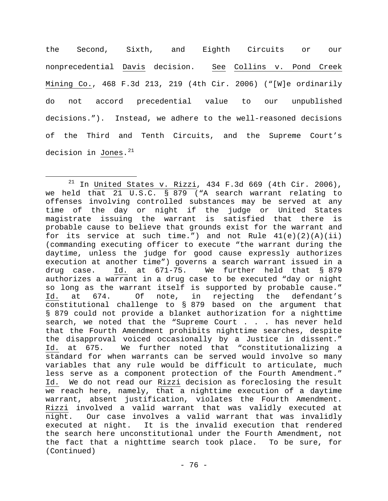the Second, Sixth, and Eighth Circuits or our nonprecedential Davis decision. See Collins v. Pond Creek Mining Co., 468 F.3d 213, 219 (4th Cir. 2006) ("[W]e ordinarily do not accord precedential value to our unpublished decisions."). Instead, we adhere to the well-reasoned decisions of the Third and Tenth Circuits, and the Supreme Court's decision in Jones.<sup>[21](#page-75-0)</sup>

Ĩ.

<span id="page-75-0"></span> $21$  In United States v. Rizzi, 434 F.3d 669 (4th Cir. 2006), we held that 21 U.S.C. § 879 ("A search warrant relating to offenses involving controlled substances may be served at any time of the day or night if the judge or United States magistrate issuing the warrant is satisfied that there is probable cause to believe that grounds exist for the warrant and for its service at such time.") and not Rule  $41(e)(2)(A)(ii)$ (commanding executing officer to execute "the warrant during the daytime, unless the judge for good cause expressly authorizes execution at another time") governs a search warrant issued in a<br>drug case. Id. at 671-75. We further held that § 879 We further held that § 879 authorizes a warrant in a drug case to be executed "day or night so long as the warrant itself is supported by probable cause."<br>Id. at 674. Of note, in rejecting the defendant's Of note, in rejecting the defendant's constitutional challenge to § 879 based on the argument that § 879 could not provide a blanket authorization for a nighttime search, we noted that the "Supreme Court . . . has never held that the Fourth Amendment prohibits nighttime searches, despite the disapproval voiced occasionally by a Justice in dissent."<br>Id. at 675. We further noted that "constitutionalizing a We further noted that "constitutionalizing a standard for when warrants can be served would involve so many variables that any rule would be difficult to articulate, much less serve as a component protection of the Fourth Amendment." Id. We do not read our Rizzi decision as foreclosing the result we reach here, namely, that a nighttime execution of a daytime warrant, absent justification, violates the Fourth Amendment. Rizzi involved a valid warrant that was validly executed at night. Our case involves a valid warrant that was invalidly executed at night. It is the invalid execution that rendered the search here unconstitutional under the Fourth Amendment, not the fact that a nighttime search took place. To be sure, for (Continued)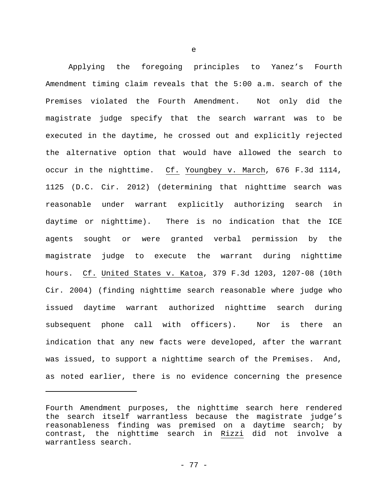Applying the foregoing principles to Yanez's Fourth Amendment timing claim reveals that the 5:00 a.m. search of the Premises violated the Fourth Amendment. Not only did the magistrate judge specify that the search warrant was to be executed in the daytime, he crossed out and explicitly rejected the alternative option that would have allowed the search to occur in the nighttime. Cf. Youngbey v. March, 676 F.3d 1114, 1125 (D.C. Cir. 2012) (determining that nighttime search was reasonable under warrant explicitly authorizing search in daytime or nighttime). There is no indication that the ICE agents sought or were granted verbal permission by the magistrate judge to execute the warrant during nighttime hours. Cf. United States v. Katoa, 379 F.3d 1203, 1207-08 (10th Cir. 2004) (finding nighttime search reasonable where judge who issued daytime warrant authorized nighttime search during subsequent phone call with officers). Nor is there an indication that any new facts were developed, after the warrant was issued, to support a nighttime search of the Premises. And, as noted earlier, there is no evidence concerning the presence

Ĩ.

e

Fourth Amendment purposes, the nighttime search here rendered the search itself warrantless because the magistrate judge's reasonableness finding was premised on a daytime search; by contrast, the nighttime search in Rizzi did not involve a warrantless search.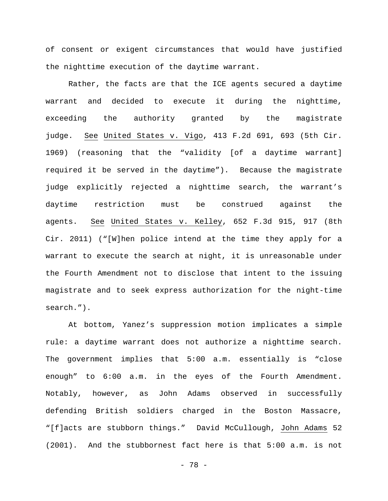of consent or exigent circumstances that would have justified the nighttime execution of the daytime warrant.

Rather, the facts are that the ICE agents secured a daytime warrant and decided to execute it during the nighttime, exceeding the authority granted by the magistrate judge. See United States v. Vigo, 413 F.2d 691, 693 (5th Cir. 1969) (reasoning that the "validity [of a daytime warrant] required it be served in the daytime"). Because the magistrate judge explicitly rejected a nighttime search, the warrant's daytime restriction must be construed against the agents. See United States v. Kelley, 652 F.3d 915, 917 (8th Cir. 2011) ("[W]hen police intend at the time they apply for a warrant to execute the search at night, it is unreasonable under the Fourth Amendment not to disclose that intent to the issuing magistrate and to seek express authorization for the night-time search.").

At bottom, Yanez's suppression motion implicates a simple rule: a daytime warrant does not authorize a nighttime search. The government implies that 5:00 a.m. essentially is "close enough" to 6:00 a.m. in the eyes of the Fourth Amendment. Notably, however, as John Adams observed in successfully defending British soldiers charged in the Boston Massacre, "[f]acts are stubborn things." David McCullough, John Adams 52 (2001). And the stubbornest fact here is that 5:00 a.m. is not

- 78 -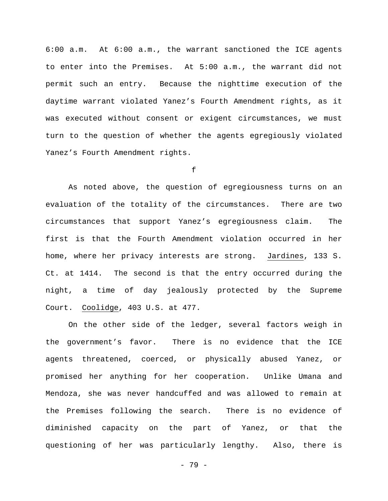6:00 a.m. At 6:00 a.m., the warrant sanctioned the ICE agents to enter into the Premises. At 5:00 a.m., the warrant did not permit such an entry. Because the nighttime execution of the daytime warrant violated Yanez's Fourth Amendment rights, as it was executed without consent or exigent circumstances, we must turn to the question of whether the agents egregiously violated Yanez's Fourth Amendment rights.

f

As noted above, the question of egregiousness turns on an evaluation of the totality of the circumstances. There are two circumstances that support Yanez's egregiousness claim. The first is that the Fourth Amendment violation occurred in her home, where her privacy interests are strong. Jardines, 133 S. Ct. at 1414. The second is that the entry occurred during the night, a time of day jealously protected by the Supreme Court. Coolidge, 403 U.S. at 477.

On the other side of the ledger, several factors weigh in the government's favor. There is no evidence that the ICE agents threatened, coerced, or physically abused Yanez, or promised her anything for her cooperation. Unlike Umana and Mendoza, she was never handcuffed and was allowed to remain at the Premises following the search. There is no evidence of diminished capacity on the part of Yanez, or that the questioning of her was particularly lengthy. Also, there is

- 79 -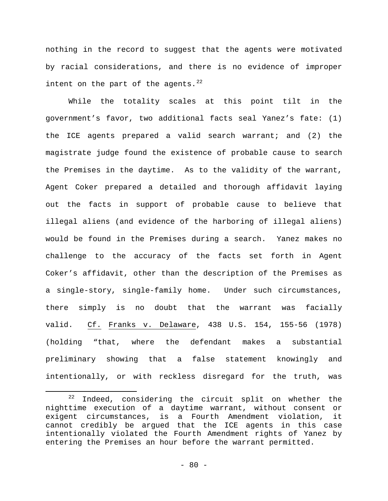nothing in the record to suggest that the agents were motivated by racial considerations, and there is no evidence of improper intent on the part of the agents. $^{22}$  $^{22}$  $^{22}$ 

While the totality scales at this point tilt in the government's favor, two additional facts seal Yanez's fate: (1) the ICE agents prepared a valid search warrant; and (2) the magistrate judge found the existence of probable cause to search the Premises in the daytime. As to the validity of the warrant, Agent Coker prepared a detailed and thorough affidavit laying out the facts in support of probable cause to believe that illegal aliens (and evidence of the harboring of illegal aliens) would be found in the Premises during a search. Yanez makes no challenge to the accuracy of the facts set forth in Agent Coker's affidavit, other than the description of the Premises as a single-story, single-family home. Under such circumstances, there simply is no doubt that the warrant was facially valid. Cf. Franks v. Delaware, 438 U.S. 154, 155-56 (1978) (holding "that, where the defendant makes a substantial preliminary showing that a false statement knowingly and intentionally, or with reckless disregard for the truth, was

Ĩ.

<span id="page-79-0"></span> $22$  Indeed, considering the circuit split on whether the nighttime execution of a daytime warrant, without consent or<br>exigent circumstances, is a Fourth Amendment violation, it exigent circumstances, is a Fourth Amendment violation, cannot credibly be argued that the ICE agents in this case intentionally violated the Fourth Amendment rights of Yanez by entering the Premises an hour before the warrant permitted.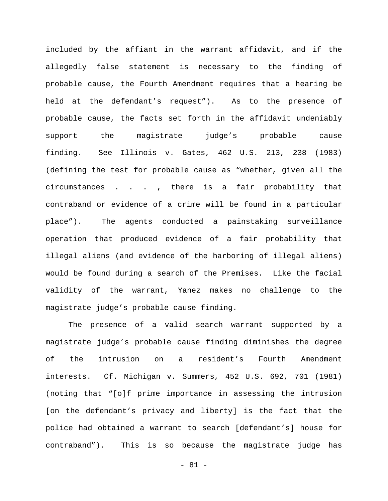included by the affiant in the warrant affidavit, and if the allegedly false statement is necessary to the finding of probable cause, the Fourth Amendment requires that a hearing be held at the defendant's request"). As to the presence of probable cause, the facts set forth in the affidavit undeniably support the magistrate judge's probable cause finding. See Illinois v. Gates, 462 U.S. 213, 238 (1983) (defining the test for probable cause as "whether, given all the circumstances . . . , there is a fair probability that contraband or evidence of a crime will be found in a particular place"). The agents conducted a painstaking surveillance operation that produced evidence of a fair probability that illegal aliens (and evidence of the harboring of illegal aliens) would be found during a search of the Premises. Like the facial validity of the warrant, Yanez makes no challenge to the magistrate judge's probable cause finding.

The presence of a valid search warrant supported by a magistrate judge's probable cause finding diminishes the degree of the intrusion on a resident's Fourth Amendment interests. Cf. Michigan v. Summers, 452 U.S. 692, 701 (1981) (noting that "[o]f prime importance in assessing the intrusion [on the defendant's privacy and liberty] is the fact that the police had obtained a warrant to search [defendant's] house for contraband"). This is so because the magistrate judge has

- 81 -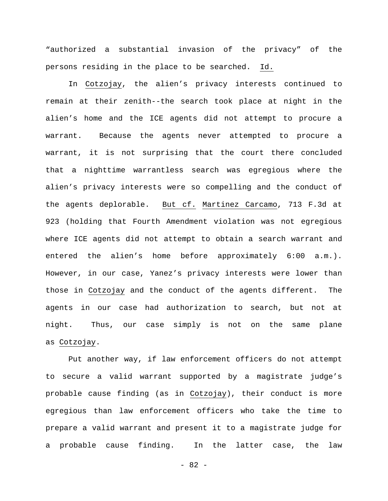"authorized a substantial invasion of the privacy" of the persons residing in the place to be searched. Id.

In Cotzojay, the alien's privacy interests continued to remain at their zenith--the search took place at night in the alien's home and the ICE agents did not attempt to procure a warrant. Because the agents never attempted to procure a warrant, it is not surprising that the court there concluded that a nighttime warrantless search was egregious where the alien's privacy interests were so compelling and the conduct of the agents deplorable. But cf. Martinez Carcamo, 713 F.3d at 923 (holding that Fourth Amendment violation was not egregious where ICE agents did not attempt to obtain a search warrant and entered the alien's home before approximately 6:00 a.m.). However, in our case, Yanez's privacy interests were lower than those in Cotzojay and the conduct of the agents different. The agents in our case had authorization to search, but not at night. Thus, our case simply is not on the same plane as Cotzojay.

Put another way, if law enforcement officers do not attempt to secure a valid warrant supported by a magistrate judge's probable cause finding (as in Cotzojay), their conduct is more egregious than law enforcement officers who take the time to prepare a valid warrant and present it to a magistrate judge for a probable cause finding. In the latter case, the law

- 82 -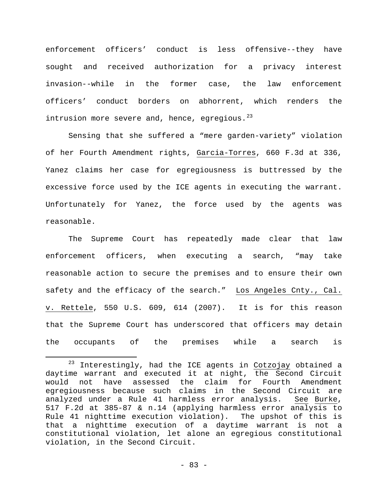enforcement officers' conduct is less offensive--they have sought and received authorization for a privacy interest invasion--while in the former case, the law enforcement officers' conduct borders on abhorrent, which renders the intrusion more severe and, hence, egregious. $^{23}$  $^{23}$  $^{23}$ 

Sensing that she suffered a "mere garden-variety" violation of her Fourth Amendment rights, Garcia-Torres, 660 F.3d at 336, Yanez claims her case for egregiousness is buttressed by the excessive force used by the ICE agents in executing the warrant. Unfortunately for Yanez, the force used by the agents was reasonable.

The Supreme Court has repeatedly made clear that law enforcement officers, when executing a search, "may take reasonable action to secure the premises and to ensure their own safety and the efficacy of the search." Los Angeles Cnty., Cal. v. Rettele, 550 U.S. 609, 614 (2007). It is for this reason that the Supreme Court has underscored that officers may detain the occupants of the premises while a search is

<span id="page-82-0"></span> $23$  Interestingly, had the ICE agents in Cotzojay obtained a daytime warrant and executed it at night, the Second Circuit would not have assessed the claim for Fourth Amendment egregiousness because such claims in the Second Circuit are<br>analyzed under a Rule 41 harmless error analysis. See Burke, analyzed under a Rule 41 harmless error analysis. 517 F.2d at 385-87 & n.14 (applying harmless error analysis to Rule 41 nighttime execution violation). The upshot of this is that a nighttime execution of a daytime warrant is not a constitutional violation, let alone an egregious constitutional violation, in the Second Circuit. Ĩ.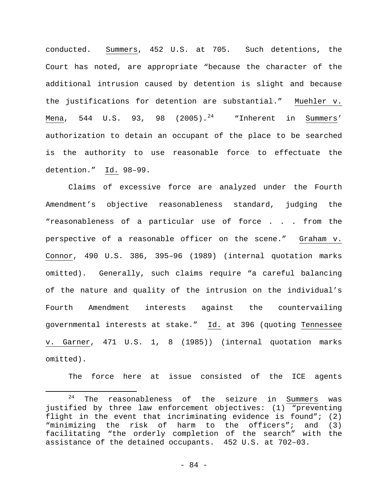conducted. Summers, 452 U.S. at 705. Such detentions, the Court has noted, are appropriate "because the character of the additional intrusion caused by detention is slight and because the justifications for detention are substantial." Muehler v. Mena, 544 U.S. 93, 98 (2005).<sup>[24](#page-83-0)</sup> "Inherent in Summers' authorization to detain an occupant of the place to be searched is the authority to use reasonable force to effectuate the detention." Id. 98–99.

Claims of excessive force are analyzed under the Fourth Amendment's objective reasonableness standard, judging the "reasonableness of a particular use of force . . . from the perspective of a reasonable officer on the scene." Graham v. Connor, 490 U.S. 386, 395–96 (1989) (internal quotation marks omitted). Generally, such claims require "a careful balancing of the nature and quality of the intrusion on the individual's Fourth Amendment interests against the countervailing governmental interests at stake." Id. at 396 (quoting Tennessee v. Garner, 471 U.S. 1, 8 (1985)) (internal quotation marks omitted).

The force here at issue consisted of the ICE agents

<span id="page-83-0"></span> $24$  The reasonableness of the seizure in Summers was justified by three law enforcement objectives: (1) "preventing flight in the event that incriminating evidence is found";  $(2)$ "minimizing the risk of harm to the officers"; and (3) facilitating "the orderly completion of the search" with the assistance of the detained occupants. 452 U.S. at 702–03. Ĩ.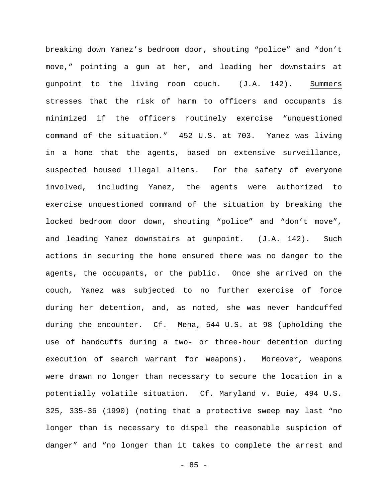breaking down Yanez's bedroom door, shouting "police" and "don't move," pointing a gun at her, and leading her downstairs at gunpoint to the living room couch. (J.A. 142). Summers stresses that the risk of harm to officers and occupants is minimized if the officers routinely exercise "unquestioned command of the situation." 452 U.S. at 703. Yanez was living in a home that the agents, based on extensive surveillance, suspected housed illegal aliens. For the safety of everyone involved, including Yanez, the agents were authorized to exercise unquestioned command of the situation by breaking the locked bedroom door down, shouting "police" and "don't move", and leading Yanez downstairs at gunpoint. (J.A. 142). Such actions in securing the home ensured there was no danger to the agents, the occupants, or the public. Once she arrived on the couch, Yanez was subjected to no further exercise of force during her detention, and, as noted, she was never handcuffed during the encounter. Cf. Mena, 544 U.S. at 98 (upholding the use of handcuffs during a two- or three-hour detention during execution of search warrant for weapons). Moreover, weapons were drawn no longer than necessary to secure the location in a potentially volatile situation. Cf. Maryland v. Buie, 494 U.S. 325, 335-36 (1990) (noting that a protective sweep may last "no longer than is necessary to dispel the reasonable suspicion of danger" and "no longer than it takes to complete the arrest and

- 85 -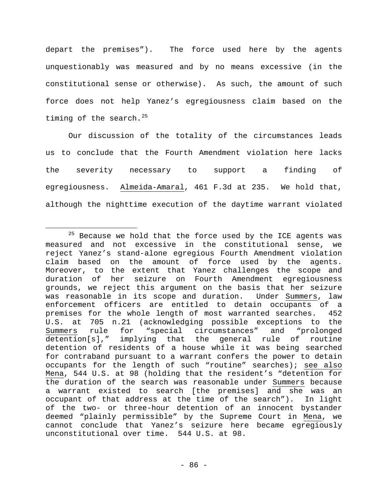depart the premises"). The force used here by the agents unquestionably was measured and by no means excessive (in the constitutional sense or otherwise). As such, the amount of such force does not help Yanez's egregiousness claim based on the timing of the search.<sup>[25](#page-85-0)</sup>

Our discussion of the totality of the circumstances leads us to conclude that the Fourth Amendment violation here lacks the severity necessary to support a finding of egregiousness. Almeida-Amaral, 461 F.3d at 235. We hold that, although the nighttime execution of the daytime warrant violated

<span id="page-85-0"></span> $25$  Because we hold that the force used by the ICE agents was measured and not excessive in the constitutional sense, we reject Yanez's stand-alone egregious Fourth Amendment violation claim based on the amount of force used by the agents. Moreover, to the extent that Yanez challenges the scope and duration of her seizure on Fourth Amendment egregiousness grounds, we reject this argument on the basis that her seizure was reasonable in its scope and duration. Under Summers, law enforcement officers are entitled to detain occupants of a premises for the whole length of most warranted searches. 452 U.S. at 705 n.21 (acknowledging possible exceptions to the<br>Summers rule for "special circumstances" and "prolonged for "special circumstances" and "prolonged detention[s]," implying that the general rule of routine detention of residents of a house while it was being searched for contraband pursuant to a warrant confers the power to detain occupants for the length of such "routine" searches); see also Mena, 544 U.S. at 98 (holding that the resident's "detention for the duration of the search was reasonable under Summers because a warrant existed to search [the premises] and she was an occupant of that address at the time of the search"). In light of the two- or three-hour detention of an innocent bystander deemed "plainly permissible" by the Supreme Court in Mena, we cannot conclude that Yanez's seizure here became egregiously unconstitutional over time. 544 U.S. at 98. Ĩ.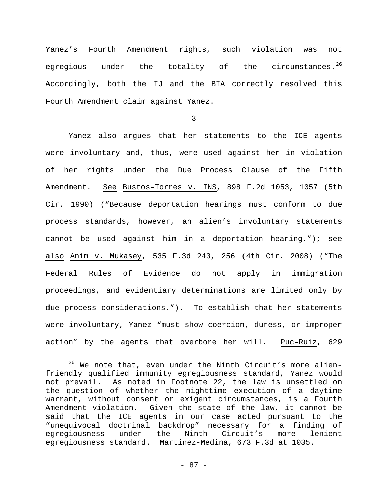Yanez's Fourth Amendment rights, such violation was not egregious under the totality of the circumstances. $^{26}$  $^{26}$  $^{26}$ Accordingly, both the IJ and the BIA correctly resolved this Fourth Amendment claim against Yanez.

3

Yanez also argues that her statements to the ICE agents were involuntary and, thus, were used against her in violation of her rights under the Due Process Clause of the Fifth Amendment. See Bustos–Torres v. INS, 898 F.2d 1053, 1057 (5th Cir. 1990) ("Because deportation hearings must conform to due process standards, however, an alien's involuntary statements cannot be used against him in a deportation hearing."); see also Anim v. Mukasey, 535 F.3d 243, 256 (4th Cir. 2008) ("The Federal Rules of Evidence do not apply in immigration proceedings, and evidentiary determinations are limited only by due process considerations."). To establish that her statements were involuntary, Yanez "must show coercion, duress, or improper action" by the agents that overbore her will. Puc–Ruiz, 629

<span id="page-86-0"></span> $26$  We note that, even under the Ninth Circuit's more alienfriendly qualified immunity egregiousness standard, Yanez would not prevail. As noted in Footnote 22, the law is unsettled on the question of whether the nighttime execution of a daytime warrant, without consent or exigent circumstances, is a Fourth Amendment violation. Given the state of the law, it cannot be said that the ICE agents in our case acted pursuant to the "unequivocal doctrinal backdrop" necessary for a finding of egregiousness under the Ninth Circuit's more lenient egregiousness standard. Martinez-Medina, 673 F.3d at 1035. Ĩ.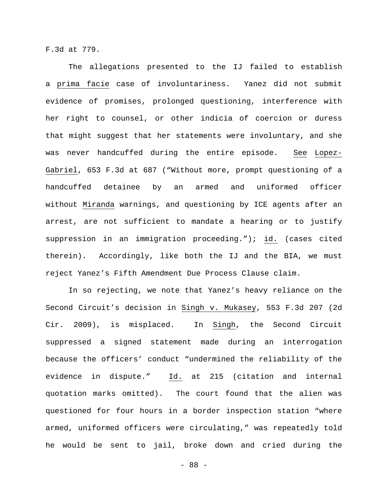F.3d at 779.

The allegations presented to the IJ failed to establish a prima facie case of involuntariness. Yanez did not submit evidence of promises, prolonged questioning, interference with her right to counsel, or other indicia of coercion or duress that might suggest that her statements were involuntary, and she was never handcuffed during the entire episode. See Lopez-Gabriel, 653 F.3d at 687 ("Without more, prompt questioning of a handcuffed detainee by an armed and uniformed officer without Miranda warnings, and questioning by ICE agents after an arrest, are not sufficient to mandate a hearing or to justify suppression in an immigration proceeding."); id. (cases cited therein). Accordingly, like both the IJ and the BIA, we must reject Yanez's Fifth Amendment Due Process Clause claim.

In so rejecting, we note that Yanez's heavy reliance on the Second Circuit's decision in Singh v. Mukasey, 553 F.3d 207 (2d Cir. 2009), is misplaced. In Singh, the Second Circuit suppressed a signed statement made during an interrogation because the officers' conduct "undermined the reliability of the evidence in dispute." Id. at 215 (citation and internal quotation marks omitted). The court found that the alien was questioned for four hours in a border inspection station "where armed, uniformed officers were circulating," was repeatedly told he would be sent to jail, broke down and cried during the

- 88 -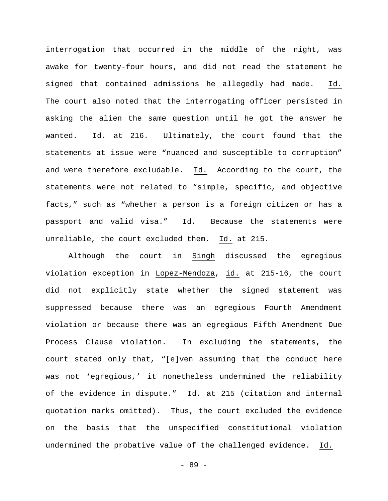interrogation that occurred in the middle of the night, was awake for twenty-four hours, and did not read the statement he signed that contained admissions he allegedly had made. Id. The court also noted that the interrogating officer persisted in asking the alien the same question until he got the answer he wanted. Id. at 216. Ultimately, the court found that the statements at issue were "nuanced and susceptible to corruption" and were therefore excludable. Id. According to the court, the statements were not related to "simple, specific, and objective facts," such as "whether a person is a foreign citizen or has a passport and valid visa." Id. Because the statements were unreliable, the court excluded them. Id. at 215.

Although the court in Singh discussed the egregious violation exception in Lopez-Mendoza, id. at 215-16, the court did not explicitly state whether the signed statement was suppressed because there was an egregious Fourth Amendment violation or because there was an egregious Fifth Amendment Due Process Clause violation. In excluding the statements, the court stated only that, "[e]ven assuming that the conduct here was not 'egregious,' it nonetheless undermined the reliability of the evidence in dispute." Id. at 215 (citation and internal quotation marks omitted). Thus, the court excluded the evidence on the basis that the unspecified constitutional violation undermined the probative value of the challenged evidence. Id.

- 89 -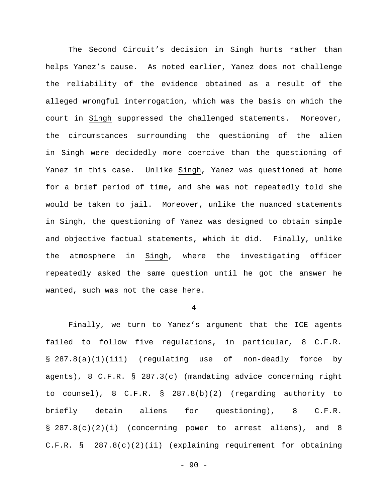The Second Circuit's decision in Singh hurts rather than helps Yanez's cause. As noted earlier, Yanez does not challenge the reliability of the evidence obtained as a result of the alleged wrongful interrogation, which was the basis on which the court in Singh suppressed the challenged statements. Moreover, the circumstances surrounding the questioning of the alien in Singh were decidedly more coercive than the questioning of Yanez in this case. Unlike Singh, Yanez was questioned at home for a brief period of time, and she was not repeatedly told she would be taken to jail. Moreover, unlike the nuanced statements in Singh, the questioning of Yanez was designed to obtain simple and objective factual statements, which it did. Finally, unlike the atmosphere in Singh, where the investigating officer repeatedly asked the same question until he got the answer he wanted, such was not the case here.

4

Finally, we turn to Yanez's argument that the ICE agents failed to follow five regulations, in particular, 8 C.F.R. § 287.8(a)(1)(iii) (regulating use of non-deadly force by agents), 8 C.F.R. § 287.3(c) (mandating advice concerning right to counsel), 8 C.F.R. § 287.8(b)(2) (regarding authority to briefly detain aliens for questioning), 8 C.F.R. § 287.8(c)(2)(i) (concerning power to arrest aliens), and 8 C.F.R. § 287.8(c)(2)(ii) (explaining requirement for obtaining

 $-90 -$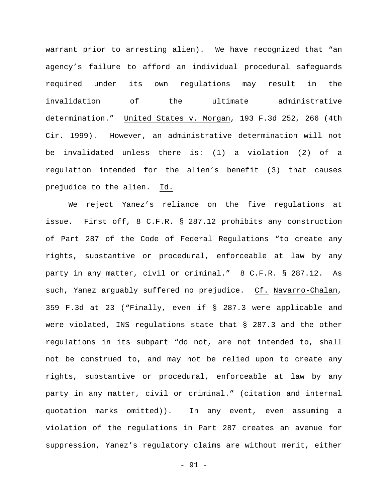warrant prior to arresting alien). We have recognized that "an agency's failure to afford an individual procedural safeguards required under its own regulations may result in the invalidation of the ultimate administrative determination." United States v. Morgan, 193 F.3d 252, 266 (4th Cir. 1999). However, an administrative determination will not be invalidated unless there is: (1) a violation (2) of a regulation intended for the alien's benefit (3) that causes prejudice to the alien. Id.

We reject Yanez's reliance on the five regulations at issue. First off, 8 C.F.R. § 287.12 prohibits any construction of Part 287 of the Code of Federal Regulations "to create any rights, substantive or procedural, enforceable at law by any party in any matter, civil or criminal." 8 C.F.R. § 287.12. As such, Yanez arguably suffered no prejudice. Cf. Navarro-Chalan, 359 F.3d at 23 ("Finally, even if § 287.3 were applicable and were violated, INS regulations state that § 287.3 and the other regulations in its subpart "do not, are not intended to, shall not be construed to, and may not be relied upon to create any rights, substantive or procedural, enforceable at law by any party in any matter, civil or criminal." (citation and internal quotation marks omitted)). In any event, even assuming a violation of the regulations in Part 287 creates an avenue for suppression, Yanez's regulatory claims are without merit, either

- 91 -